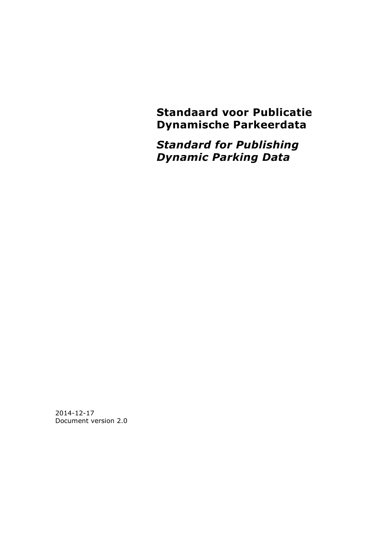**Standaard voor Publicatie Dynamische Parkeerdata**

*Standard for Publishing Dynamic Parking Data*

2014-12-17 Document version 2.0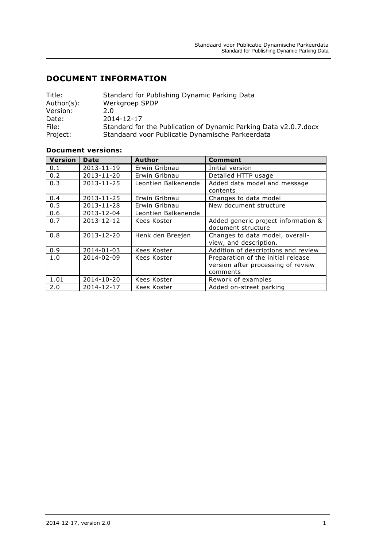# **DOCUMENT INFORMATION**

| Title:     | Standard for Publishing Dynamic Parking Data                      |
|------------|-------------------------------------------------------------------|
| Author(s): | Werkgroep SPDP                                                    |
| Version:   | 2.0                                                               |
| Date:      | 2014-12-17                                                        |
| File:      | Standard for the Publication of Dynamic Parking Data v2.0.7. docx |
| Project:   | Standaard voor Publicatie Dynamische Parkeerdata                  |

#### **Document versions:**

| Version | <b>Date</b> | Author              | Comment                             |  |  |
|---------|-------------|---------------------|-------------------------------------|--|--|
| 0.1     | 2013-11-19  | Erwin Gribnau       | Initial version                     |  |  |
| 0.2     | 2013-11-20  | Erwin Gribnau       | Detailed HTTP usage                 |  |  |
| 0.3     | 2013-11-25  | Leontien Balkenende | Added data model and message        |  |  |
|         |             |                     | contents                            |  |  |
| 0.4     | 2013-11-25  | Erwin Gribnau       | Changes to data model               |  |  |
| 0.5     | 2013-11-28  | Erwin Gribnau       | New document structure              |  |  |
| 0.6     | 2013-12-04  | Leontien Balkenende |                                     |  |  |
| 0.7     | 2013-12-12  | Kees Koster         | Added generic project information & |  |  |
|         |             |                     | document structure                  |  |  |
| 0.8     | 2013-12-20  | Henk den Breejen    | Changes to data model, overall-     |  |  |
|         |             |                     | view, and description.              |  |  |
| 0.9     | 2014-01-03  | Kees Koster         | Addition of descriptions and review |  |  |
| 1.0     | 2014-02-09  | Kees Koster         | Preparation of the initial release  |  |  |
|         |             |                     | version after processing of review  |  |  |
|         |             |                     | comments                            |  |  |
| 1.01    | 2014-10-20  | Kees Koster         | Rework of examples                  |  |  |
| 2.0     | 2014-12-17  | Kees Koster         | Added on-street parking             |  |  |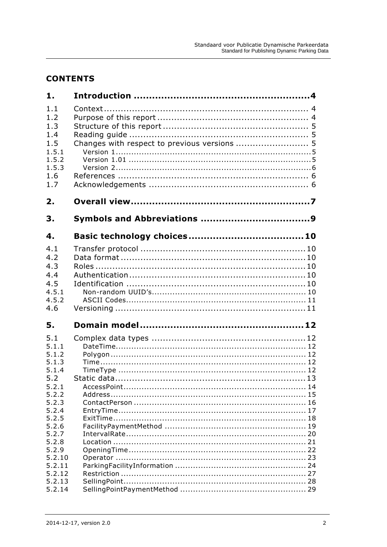# **CONTENTS**

| 1.               |                                              |    |
|------------------|----------------------------------------------|----|
| 1.1              |                                              |    |
| 1.2              |                                              |    |
| 1.3              |                                              |    |
| 1.4              |                                              |    |
| 1.5              | Changes with respect to previous versions  5 |    |
| 1.5.1            |                                              |    |
| 1.5.2            |                                              |    |
| 1.5.3            |                                              |    |
| 1.6              |                                              |    |
| 1.7              |                                              |    |
| 2.               |                                              |    |
| З.               |                                              |    |
| 4.               |                                              |    |
| 4.1              |                                              |    |
| 4.2              |                                              |    |
| 4.3              |                                              |    |
| 4.4              |                                              |    |
| 4.5              |                                              |    |
| 4.5.1            |                                              |    |
| 4.5.2            |                                              |    |
| 4.6              |                                              |    |
| 5.               |                                              |    |
| 5.1              |                                              |    |
| 5.1.1            |                                              |    |
| 5.1.2            |                                              |    |
| 5.1.3            |                                              |    |
| 5.1.4            |                                              |    |
| 5.2              |                                              |    |
| 5.2.1            |                                              |    |
| 5.2.2<br>5.2.3   |                                              |    |
| 5.2.4            |                                              |    |
| 5.2.5            |                                              |    |
| 5.2.6            |                                              |    |
| 5.2.7            |                                              |    |
| 5.2.8            |                                              | 21 |
| 5.2.9            |                                              | 22 |
| 5.2.10           |                                              | 23 |
| 5.2.11           |                                              | 24 |
| 5.2.12<br>5.2.13 |                                              | 27 |
| 5.2.14           |                                              |    |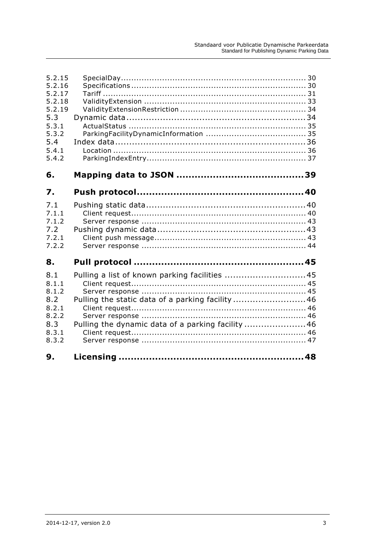| 5.2.15<br>5.2.16<br>5.2.17<br>5.2.18<br>5.2.19<br>5.3<br>5.3.1<br>5.3.2<br>5.4<br>5.4.1<br>5.4.2 |                                                                                                                                                       |  |
|--------------------------------------------------------------------------------------------------|-------------------------------------------------------------------------------------------------------------------------------------------------------|--|
| 6.                                                                                               |                                                                                                                                                       |  |
| 7.                                                                                               |                                                                                                                                                       |  |
| 7.1<br>7.1.1<br>7.1.2<br>7.2<br>7.2.1<br>7.2.2                                                   |                                                                                                                                                       |  |
| 8.                                                                                               |                                                                                                                                                       |  |
| 8.1<br>8.1.1<br>8.1.2<br>8.2<br>8.2.1<br>8.2.2<br>8.3<br>8.3.1<br>8.3.2                          | Pulling a list of known parking facilities 45<br>Pulling the static data of a parking facility46<br>Pulling the dynamic data of a parking facility 46 |  |
| 9.                                                                                               |                                                                                                                                                       |  |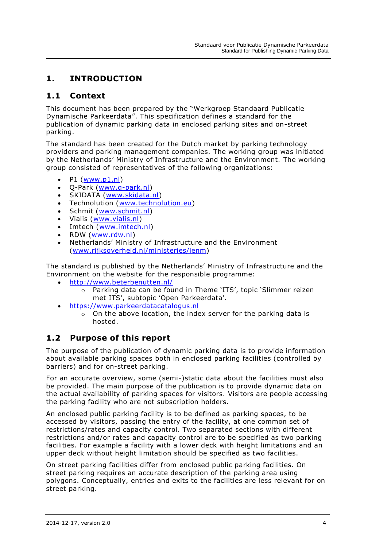# <span id="page-4-0"></span>**1. INTRODUCTION**

## <span id="page-4-1"></span>**1.1 Context**

This document has been prepared by the "Werkgroep Standaard Publicatie Dynamische Parkeerdata". This specification defines a standard for the publication of dynamic parking data in enclosed parking sites and on-street parking.

The standard has been created for the Dutch market by parking technology providers and parking management companies. The working group was initiated by the Netherlands' Ministry of Infrastructure and the Environment. The working group consisted of representatives of the following organizations:

- $\bullet$  P1 [\(www.p1.nl\)](http://www.p1.nl/)
- Q-Park [\(www.q-park.nl\)](http://www.q-park.nl/)
- SKIDATA [\(www.skidata.nl\)](http://www.skidata.nl/)
- Technolution [\(www.technolution.eu\)](http://www.technolution.eu/)
- Schmit [\(www.schmit.nl\)](http://www.schmit.nl/)
- Vialis [\(www.vialis.nl\)](http://www.vialis.nl/)
- Imtech [\(www.imtech.nl\)](http://www.imtech.nl/)
- RDW [\(www.rdw.nl\)](http://www.rdw.nl/)
- Netherlands' Ministry of Infrastructure and the Environment [\(www.rijksoverheid.nl/ministeries/ienm\)](http://www.rijksoverheid.nl/ministeries/ienm)

The standard is published by the Netherlands' Ministry of Infrastructure and the Environment on the website for the responsible programme:

- <http://www.beterbenutten.nl/>
	- o Parking data can be found in Theme 'ITS', topic 'Slimmer reizen met ITS', subtopic 'Open Parkeerdata'.
- [https://www.parkeerdatacatalogus.nl](https://www.parkeerdatacatalogus.nl/)
	- $\circ$  On the above location, the index server for the parking data is hosted.

# <span id="page-4-2"></span>**1.2 Purpose of this report**

The purpose of the publication of dynamic parking data is to provide information about available parking spaces both in enclosed parking facilities (controlled by barriers) and for on-street parking.

For an accurate overview, some (semi-)static data about the facilities must also be provided. The main purpose of the publication is to provide dynamic data on the actual availability of parking spaces for visitors. Visitors are people accessing the parking facility who are not subscription holders.

An enclosed public parking facility is to be defined as parking spaces, to be accessed by visitors, passing the entry of the facility, at one common set of restrictions/rates and capacity control. Two separated sections with different restrictions and/or rates and capacity control are to be specified as two parking facilities. For example a facility with a lower deck with height limitations and an upper deck without height limitation should be specified as two facilities.

On street parking facilities differ from enclosed public parking facilities. On street parking requires an accurate description of the parking area using polygons. Conceptually, entries and exits to the facilities are less relevant for on street parking.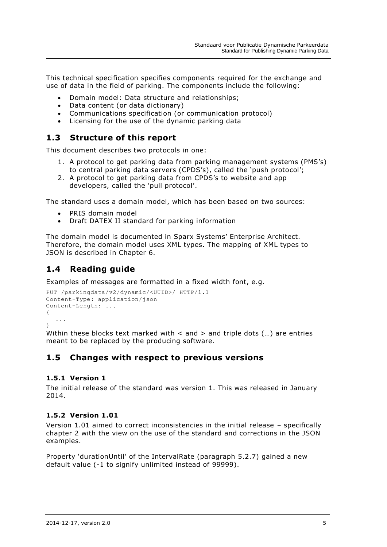This technical specification specifies components required for the exchange and use of data in the field of parking. The components include the following:

- Domain model: Data structure and relationships;
- Data content (or data dictionary)
- Communications specification (or communication protocol)
- Licensing for the use of the dynamic parking data

# <span id="page-5-0"></span>**1.3 Structure of this report**

This document describes two protocols in one:

- 1. A protocol to get parking data from parking management systems (PMS's) to central parking data servers (CPDS's), called the 'push protocol';
- 2. A protocol to get parking data from CPDS's to website and app developers, called the 'pull protocol'.

The standard uses a domain model, which has been based on two sources:

- PRIS domain model
- Draft DATEX II standard for parking information

The domain model is documented in Sparx Systems' Enterprise Architect. Therefore, the domain model uses XML types. The mapping of XML types to JSON is described in Chapter [6.](#page-39-0)

# <span id="page-5-1"></span>**1.4 Reading guide**

Examples of messages are formatted in a fixed width font, e.g.

```
PUT /parkingdata/v2/dynamic/<UUID>/ HTTP/1.1
Content-Type: application/json
Content-Length: ...
{
  ...
}
```
Within these blocks text marked with  $\lt$  and  $>$  and triple dots (...) are entries meant to be replaced by the producing software.

# <span id="page-5-2"></span>**1.5 Changes with respect to previous versions**

#### <span id="page-5-3"></span>**1.5.1 Version 1**

The initial release of the standard was version 1. This was released in January 2014.

### <span id="page-5-4"></span>**1.5.2 Version 1.01**

Version 1.01 aimed to correct inconsistencies in the initial release – specifically chapter 2 with the view on the use of the standard and corrections in the JSON examples.

Property 'durationUntil' of the IntervalRate (paragraph [5.2.7\)](#page-20-0) gained a new default value (-1 to signify unlimited instead of 99999).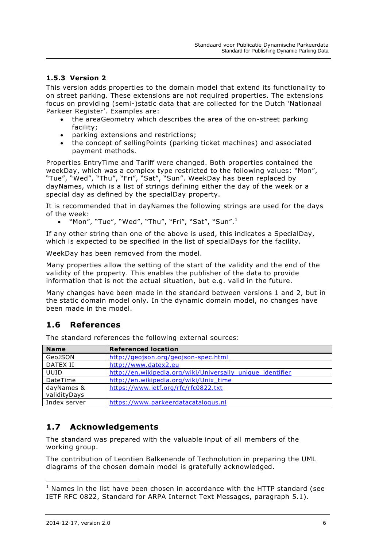## <span id="page-6-0"></span>**1.5.3 Version 2**

This version adds properties to the domain model that extend its functionality to on street parking. These extensions are not required properties. The extensions focus on providing (semi-)static data that are collected for the Dutch 'Nationaal Parkeer Register'. Examples are:

- the areaGeometry which describes the area of the on-street parking facility;
- parking extensions and restrictions;
- the concept of sellingPoints (parking ticket machines) and associated payment methods.

Properties EntryTime and Tariff were changed. Both properties contained the weekDay, which was a complex type restricted to the following values: "Mon", "Tue", "Wed", "Thu", "Fri", "Sat", "Sun". WeekDay has been replaced by dayNames, which is a list of strings defining either the day of the week or a special day as defined by the specialDay property.

It is recommended that in dayNames the following strings are used for the days of the week:

"Mon", "Tue", "Wed", "Thu", "Fri", "Sat", "Sun".<sup>1</sup>

If any other string than one of the above is used, this indicates a SpecialDay, which is expected to be specified in the list of specialDays for the facility.

WeekDay has been removed from the model.

Many properties allow the setting of the start of the validity and the end of the validity of the property. This enables the publisher of the data to provide information that is not the actual situation, but e.g. valid in the future.

Many changes have been made in the standard between versions 1 and 2, but in the static domain model only. In the dynamic domain model, no changes have been made in the model.

# <span id="page-6-1"></span>**1.6 References**

The standard references the following external sources:

| <b>Name</b>  | <b>Referenced location</b>                                 |
|--------------|------------------------------------------------------------|
| GeoJSON      | http://geojson.org/geojson-spec.html                       |
| DATEX II     | http://www.datex2.eu                                       |
| UUID         | http://en.wikipedia.org/wiki/Universally unique identifier |
| DateTime     | http://en.wikipedia.org/wiki/Unix_time                     |
| dayNames &   | https://www.ietf.org/rfc/rfc0822.txt                       |
| validityDays |                                                            |
| Index server | https://www.parkeerdatacatalogus.nl                        |

# <span id="page-6-2"></span>**1.7 Acknowledgements**

The standard was prepared with the valuable input of all members of the working group.

The contribution of Leontien Balkenende of Technolution in preparing the UML diagrams of the chosen domain model is gratefully acknowledged.

 $1$  Names in the list have been chosen in accordance with the HTTP standard (see IETF RFC 0822, Standard for ARPA Internet Text Messages, paragraph 5.1).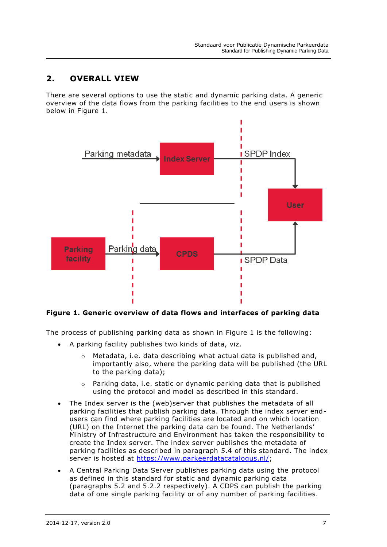# <span id="page-7-0"></span>**2. OVERALL VIEW**

There are several options to use the static and dynamic parking data. A generic overview of the data flows from the parking facilities to the end users is shown below in [Figure 1.](#page-7-1)



### <span id="page-7-1"></span>**Figure 1. Generic overview of data flows and interfaces of parking data**

The process of publishing parking data as shown in [Figure 1](#page-7-1) is the following:

- A parking facility publishes two kinds of data, viz.
	- o Metadata, i.e. data describing what actual data is published and, importantly also, where the parking data will be published (the URL to the parking data);
	- o Parking data, i.e. static or dynamic parking data that is published using the protocol and model as described in this standard.
- The Index server is the (web)server that publishes the metadata of all parking facilities that publish parking data. Through the index server endusers can find where parking facilities are located and on which location (URL) on the Internet the parking data can be found. The Netherlands' Ministry of Infrastructure and Environment has taken the responsibility to create the Index server. The index server publishes the metadata of parking facilities as described in paragraph [5.4](#page-36-0) of this standard. The index server is hosted at [https://www.parkeerdatacatalogus.nl/;](https://www.parkeerdatacatalogus.nl/)
- A Central Parking Data Server publishes parking data using the protocol as defined in this standard for static and dynamic parking data (paragraphs [5.2](#page-13-0) and [5.2.2](#page-15-0) respectively). A CDPS can publish the parking data of one single parking facility or of any number of parking facilities.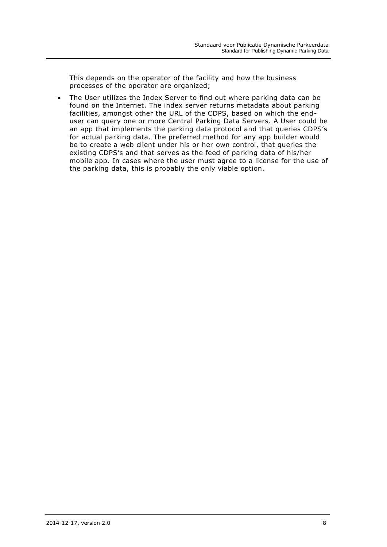This depends on the operator of the facility and how the business processes of the operator are organized;

 The User utilizes the Index Server to find out where parking data can be found on the Internet. The index server returns metadata about parking facilities, amongst other the URL of the CDPS, based on which the enduser can query one or more Central Parking Data Servers. A User could be an app that implements the parking data protocol and that queries CDPS's for actual parking data. The preferred method for any app builder would be to create a web client under his or her own control, that queries the existing CDPS's and that serves as the feed of parking data of his/her mobile app. In cases where the user must agree to a license for the use of the parking data, this is probably the only viable option.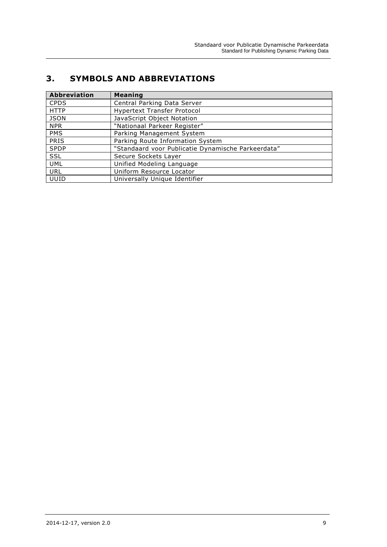# <span id="page-9-0"></span>**3. SYMBOLS AND ABBREVIATIONS**

| <b>Abbreviation</b> | <b>Meaning</b>                                     |
|---------------------|----------------------------------------------------|
| <b>CPDS</b>         | Central Parking Data Server                        |
| <b>HTTP</b>         | <b>Hypertext Transfer Protocol</b>                 |
| <b>JSON</b>         | JavaScript Object Notation                         |
| <b>NPR</b>          | "Nationaal Parkeer Register"                       |
| <b>PMS</b>          | Parking Management System                          |
| <b>PRIS</b>         | Parking Route Information System                   |
| <b>SPDP</b>         | "Standaard voor Publicatie Dynamische Parkeerdata" |
| <b>SSL</b>          | Secure Sockets Layer                               |
| <b>UML</b>          | Unified Modeling Language                          |
| URL                 | Uniform Resource Locator                           |
| UUID                | Universally Unique Identifier                      |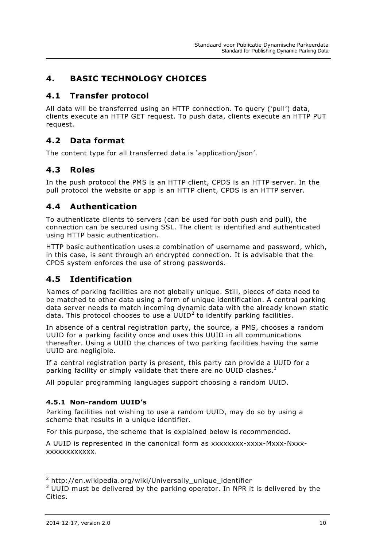# <span id="page-10-0"></span>**4. BASIC TECHNOLOGY CHOICES**

# <span id="page-10-1"></span>**4.1 Transfer protocol**

All data will be transferred using an HTTP connection. To query ('pull') data, clients execute an HTTP GET request. To push data, clients execute an HTTP PUT request.

# <span id="page-10-2"></span>**4.2 Data format**

The content type for all transferred data is 'application/json'.

# <span id="page-10-3"></span>**4.3 Roles**

In the push protocol the PMS is an HTTP client, CPDS is an HTTP server. In the pull protocol the website or app is an HTTP client, CPDS is an HTTP server.

# <span id="page-10-4"></span>**4.4 Authentication**

To authenticate clients to servers (can be used for both push and pull), the connection can be secured using SSL. The client is identified and authenticated using HTTP basic authentication.

HTTP basic authentication uses a combination of username and password, which, in this case, is sent through an encrypted connection. It is advisable that the CPDS system enforces the use of strong passwords.

# <span id="page-10-5"></span>**4.5 Identification**

Names of parking facilities are not globally unique. Still, pieces of data need to be matched to other data using a form of unique identification. A central parking data server needs to match incoming dynamic data with the already known static data. This protocol chooses to use a UUID<sup>2</sup> to identify parking facilities.

In absence of a central registration party, the source, a PMS, chooses a random UUID for a parking facility once and uses this UUID in all communications thereafter. Using a UUID the chances of two parking facilities having the same UUID are negligible.

If a central registration party is present, this party can provide a UUID for a parking facility or simply validate that there are no UUID clashes. $^3$ 

All popular programming languages support choosing a random UUID.

## <span id="page-10-6"></span>**4.5.1 Non-random UUID's**

Parking facilities not wishing to use a random UUID, may do so by using a scheme that results in a unique identifier.

For this purpose, the scheme that is explained below is recommended.

A UUID is represented in the canonical form as xxxxxxxx-xxxx-Mxxx-Nxxxxxxxxxxxxxxx.

-

<sup>2</sup> http://en.wikipedia.org/wiki/Universally\_unique\_identifier

 $3$  UUID must be delivered by the parking operator. In NPR it is delivered by the Cities.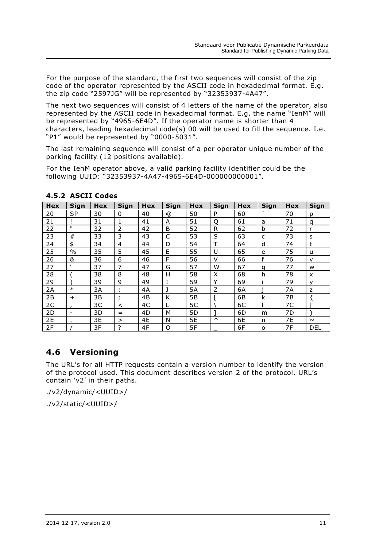For the purpose of the standard, the first two sequences will consist of the zip code of the operator represented by the ASCII code in hexadecimal format. E.g. the zip code "2597JG" will be represented by "32353937-4A47".

The next two sequences will consist of 4 letters of the name of the operator, also represented by the ASCII code in hexadecimal format. E.g. the name "IenM" will be represented by "4965-6E4D". If the operator name is shorter than 4 characters, leading hexadecimal code(s) 00 will be used to fill the sequence. I.e. "P1" would be represented by "0000-5031".

The last remaining sequence will consist of a per operator unique number of the parking facility (12 positions available).

For the IenM operator above, a valid parking facility identifier could be the following UUID: "32353937-4A47-4965-6E4D-000000000001".

| Hex | Sign                     | <b>Hex</b> | Sign           | <b>Hex</b> | Sign | Hex | Sign   | Hex | Sign    | <b>Hex</b> | Sign         |
|-----|--------------------------|------------|----------------|------------|------|-----|--------|-----|---------|------------|--------------|
| 20  | <b>SP</b>                | 30         | 0              | 40         | ⊚    | 50  | P      | 60  | $\cdot$ | 70         | p            |
| 21  |                          | 31         | 1              | 41         | A    | 51  | Q      | 61  | a       | 71         | q            |
| 22  | $\mathbf{H}$             | 32         | 2              | 42         | B    | 52  | R      | 62  | b       | 72         | r            |
| 23  | #                        | 33         | 3              | 43         | C    | 53  | S      | 63  | C       | 73         | s            |
| 24  | \$                       | 34         | $\overline{4}$ | 44         | D    | 54  | T      | 64  | d       | 74         | t            |
| 25  | $\%$                     | 35         | 5              | 45         | E    | 55  | U      | 65  | e       | 75         | u            |
| 26  | &                        | 36         | 6              | 46         | F    | 56  | V      | 66  | f       | 76         | $\mathsf{v}$ |
| 27  | т.                       | 37         | 7              | 47         | G    | 57  | W      | 67  | g       | 77         | W            |
| 28  |                          | 38         | 8              | 48         | н    | 58  | X      | 68  | h       | 78         | X            |
| 29  |                          | 39         | 9              | 49         | I    | 59  | Υ      | 69  |         | 79         | $\mathsf{v}$ |
| 2A  | $\ast$                   | 3A         | ٠              | 4A         | J    | 5A  | Z      | 6A  |         | 7A         | Z            |
| 2B  | $\ddot{}$                | 3B         | ٠              | 4B         | K    | 5B  |        | 6В  | k       | 7B         |              |
| 2C  |                          | 3C         | $\,<\,$        | 4C         | L    | 5C  |        | 6C  |         | 7C         |              |
| 2D  | $\overline{\phantom{a}}$ | 3D         | $=$            | 4D         | М    | 5D  |        | 6D  | m       | 7D         |              |
| 2E  | ٠.                       | 3E         | $\geq$         | 4E         | N    | 5E  | $\sim$ | 6E  | n       | 7E         | $\sim$       |
| 2F  |                          | 3F         | ?              | 4F         | O    | 5F  |        | 6F  | O       | 7F         | <b>DEL</b>   |

## <span id="page-11-0"></span>**4.5.2 ASCII Codes**

# <span id="page-11-1"></span>**4.6 Versioning**

The URL's for all HTTP requests contain a version number to identify the version of the protocol used. This document describes version 2 of the protocol. URL's contain 'v2' in their paths.

./v2/dynamic/<UUID>/

./v2/static/<UUID>/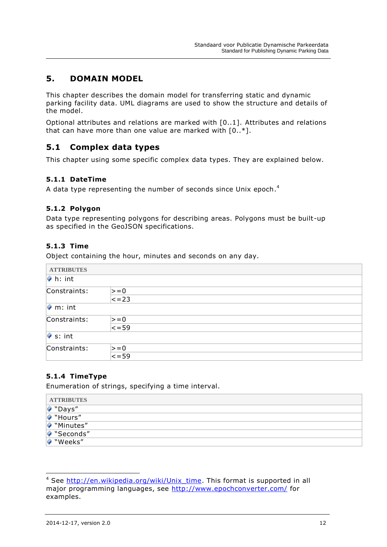# <span id="page-12-0"></span>**5. DOMAIN MODEL**

This chapter describes the domain model for transferring static and dynamic parking facility data. UML diagrams are used to show the structure and details of the model.

Optional attributes and relations are marked with [0..1]. Attributes and relations that can have more than one value are marked with [0..\*].

## <span id="page-12-1"></span>**5.1 Complex data types**

This chapter using some specific complex data types. They are explained below.

### <span id="page-12-2"></span>**5.1.1 DateTime**

A data type representing the number of seconds since Unix epoch. $^{\text{4}}$ 

#### <span id="page-12-3"></span>**5.1.2 Polygon**

Data type representing polygons for describing areas. Polygons must be built-up as specified in the GeoJSON specifications.

#### <span id="page-12-4"></span>**5.1.3 Time**

Object containing the hour, minutes and seconds on any day.

| <b>ATTRIBUTES</b>       |                   |
|-------------------------|-------------------|
| $\triangleright$ h: int |                   |
| Constraints:            | $\vert \gt = 0$   |
|                         | $\overline{<-23}$ |
| $\bullet$ m: int        |                   |
| Constraints:            | $\geq$ = 0        |
|                         | $\le$ = 59        |
| $\bullet$ s: int        |                   |
| Constraints:            | $\geq$ = 0        |
|                         | $\overline{59}$   |

#### <span id="page-12-5"></span>**5.1.4 TimeType**

Enumeration of strings, specifying a time interval.

| <b>ATTRIBUTES</b> |  |
|-------------------|--|
| ♥ "Days"          |  |
| Hours"            |  |
| Minutes"          |  |
| Seconds"          |  |
| ♥ "Weeks"         |  |

-

<sup>&</sup>lt;sup>4</sup> See [http://en.wikipedia.org/wiki/Unix\\_time.](http://en.wikipedia.org/wiki/Unix_time) This format is supported in all major programming languages, see<http://www.epochconverter.com/> for examples.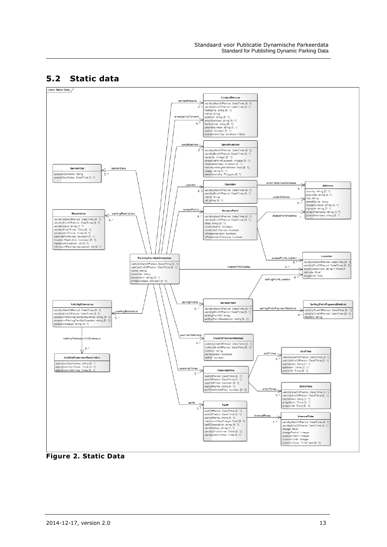# <span id="page-13-0"></span>**5.2 Static data**



**Figure 2. Static Data**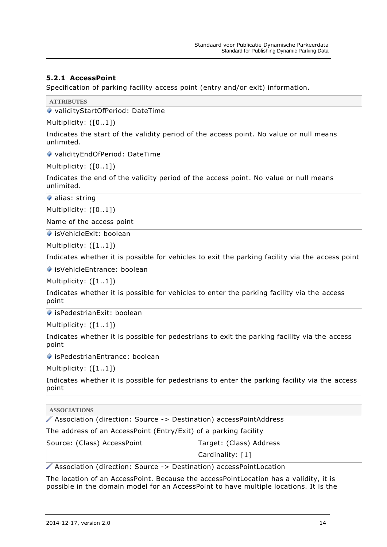## <span id="page-14-0"></span>**5.2.1 AccessPoint**

Specification of parking facility access point (entry and/or exit) information.

**ATTRIBUTES**

validityStartOfPeriod: DateTime

Multiplicity: ([0..1])

Indicates the start of the validity period of the access point. No value or null means unlimited.

validityEndOfPeriod: DateTime

Multiplicity: ([0..1])

Indicates the end of the validity period of the access point. No value or null means unlimited.

alias: string

Multiplicity: ([0..1])

Name of the access point

● isVehicleExit: boolean

Multiplicity: ([1..1])

Indicates whether it is possible for vehicles to exit the parking facility via the access point

◆ isVehicleEntrance: boolean

Multiplicity: ([1..1])

Indicates whether it is possible for vehicles to enter the parking facility via the access point

◆ isPedestrianExit: boolean

Multiplicity: ([1..1])

Indicates whether it is possible for pedestrians to exit the parking facility via the access point

◆ isPedestrianEntrance: boolean

Multiplicity: ([1..1])

Indicates whether it is possible for pedestrians to enter the parking facility via the access point

**ASSOCIATIONS** Association (direction: Source -> Destination) accessPointAddress The address of an AccessPoint (Entry/Exit) of a parking facility Source: (Class) AccessPoint Target: (Class) Address Cardinality: [1]

Association (direction: Source -> Destination) accessPointLocation

The location of an AccessPoint. Because the accessPointLocation has a validity, it is possible in the domain model for an AccessPoint to have multiple locations. It is the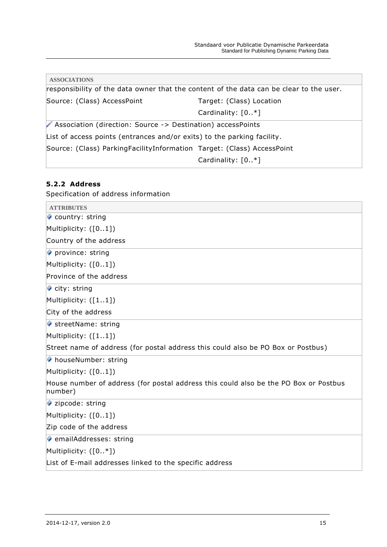| <b>ASSOCIATIONS</b>                                                     |                                                                                         |
|-------------------------------------------------------------------------|-----------------------------------------------------------------------------------------|
|                                                                         | responsibility of the data owner that the content of the data can be clear to the user. |
| Source: (Class) AccessPoint                                             | Target: (Class) Location                                                                |
|                                                                         | Cardinality: $[0*]$                                                                     |
| ▶ Association (direction: Source -> Destination) accessPoints           |                                                                                         |
| List of access points (entrances and/or exits) to the parking facility. |                                                                                         |
| Source: (Class) ParkingFacilityInformation Target: (Class) AccessPoint  |                                                                                         |
|                                                                         | Cardinality: $[0*]$                                                                     |
|                                                                         |                                                                                         |

# <span id="page-15-0"></span>**5.2.2 Address**

Specification of address information

| <b>ATTRIBUTES</b>                                                                               |
|-------------------------------------------------------------------------------------------------|
| Country: string                                                                                 |
| Multiplicity: $([01])$                                                                          |
| Country of the address                                                                          |
| $\triangleright$ province: string                                                               |
| Multiplicity: $([01])$                                                                          |
| Province of the address                                                                         |
| $\bullet$ city: string                                                                          |
| Multiplicity: $([11])$                                                                          |
| City of the address                                                                             |
| ↓ streetName: string                                                                            |
| Multiplicity: $([11])$                                                                          |
| Street name of address (for postal address this could also be PO Box or Postbus)                |
| ♦ houseNumber: string                                                                           |
| Multiplicity: $([01])$                                                                          |
| House number of address (for postal address this could also be the PO Box or Postbus<br>number) |
| $\triangleright$ zipcode: string                                                                |
| Multiplicity: $([01])$                                                                          |
| Zip code of the address                                                                         |
| ♦ emailAddresses: string                                                                        |
| Multiplicity: $([0, *])$                                                                        |
| List of E-mail addresses linked to the specific address                                         |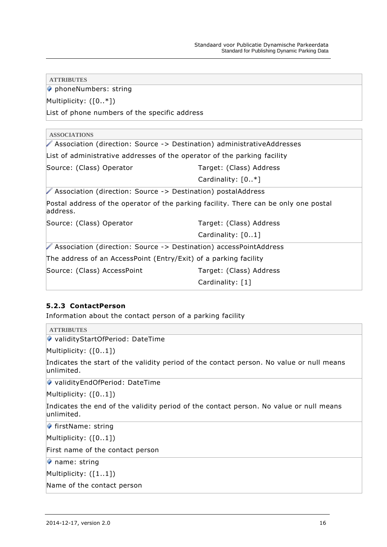| <b>ATTRIBUTES</b>                                                                                 |                         |  |  |  |  |
|---------------------------------------------------------------------------------------------------|-------------------------|--|--|--|--|
| phoneNumbers: string                                                                              |                         |  |  |  |  |
| Multiplicity: $([0, *])$                                                                          |                         |  |  |  |  |
| List of phone numbers of the specific address                                                     |                         |  |  |  |  |
| <b>ASSOCIATIONS</b>                                                                               |                         |  |  |  |  |
| Association (direction: Source -> Destination) administrativeAddresses                            |                         |  |  |  |  |
| List of administrative addresses of the operator of the parking facility                          |                         |  |  |  |  |
| Source: (Class) Operator                                                                          | Target: (Class) Address |  |  |  |  |
|                                                                                                   | Cardinality: $[0.*]$    |  |  |  |  |
| Association (direction: Source -> Destination) postalAddress                                      |                         |  |  |  |  |
| Postal address of the operator of the parking facility. There can be only one postal<br>laddress. |                         |  |  |  |  |
| Source: (Class) Operator                                                                          | Target: (Class) Address |  |  |  |  |
|                                                                                                   | Cardinality: [01]       |  |  |  |  |
| Association (direction: Source -> Destination) accessPointAddress                                 |                         |  |  |  |  |
| The address of an AccessPoint (Entry/Exit) of a parking facility                                  |                         |  |  |  |  |
| Source: (Class) AccessPoint                                                                       | Target: (Class) Address |  |  |  |  |
|                                                                                                   | Cardinality: [1]        |  |  |  |  |
|                                                                                                   |                         |  |  |  |  |

## <span id="page-16-0"></span>**5.2.3 ContactPerson**

Information about the contact person of a parking facility

**ATTRIBUTES** ◆ validityStartOfPeriod: DateTime Multiplicity: ([0..1]) Indicates the start of the validity period of the contact person. No value or null means unlimited. validityEndOfPeriod: DateTime Multiplicity: ([0..1]) Indicates the end of the validity period of the contact person. No value or null means unlimited.  $\blacklozenge$  firstName: string Multiplicity: ([0..1]) First name of the contact person name: string Multiplicity: ([1..1]) Name of the contact person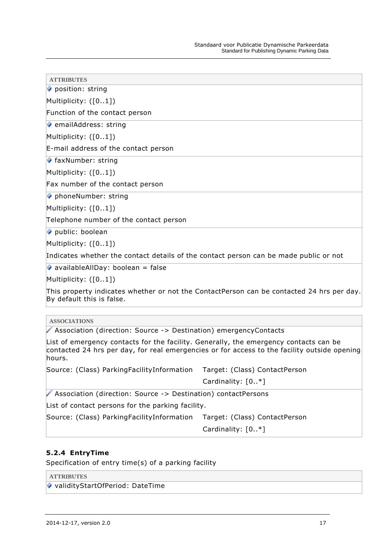position: string

Multiplicity: ([0..1])

Function of the contact person

 $\bullet$  emailAddress: string

Multiplicity: ([0..1])

E-mail address of the contact person

 $\blacklozenge$  faxNumber: string

Multiplicity: ([0..1])

Fax number of the contact person

◆ phoneNumber: string

Multiplicity: ([0..1])

Telephone number of the contact person

public: boolean

Multiplicity: ([0..1])

Indicates whether the contact details of the contact person can be made public or not

 $\bullet$  availableAllDay: boolean = false

Multiplicity: ([0..1])

This property indicates whether or not the ContactPerson can be contacted 24 hrs per day. By default this is false.

**ASSOCIATIONS**

Association (direction: Source -> Destination) emergencyContacts

List of emergency contacts for the facility. Generally, the emergency contacts can be contacted 24 hrs per day, for real emergencies or for access to the facility outside opening hours.

Source: (Class) ParkingFacilityInformation Target: (Class) ContactPerson

Cardinality: [0..\*]

Association (direction: Source -> Destination) contactPersons

List of contact persons for the parking facility.

Source: (Class) ParkingFacilityInformation Target: (Class) ContactPerson

Cardinality: [0..\*]

### <span id="page-17-0"></span>**5.2.4 EntryTime**

Specification of entry time(s) of a parking facility

**ATTRIBUTES**

◆ validityStartOfPeriod: DateTime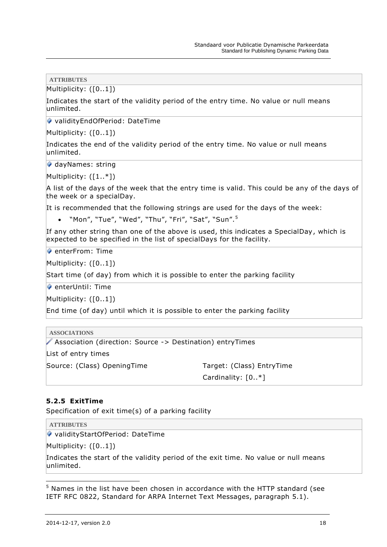Multiplicity: ([0..1])

Indicates the start of the validity period of the entry time. No value or null means unlimited.

◆ validityEndOfPeriod: DateTime

Multiplicity: ([0..1])

Indicates the end of the validity period of the entry time. No value or null means unlimited.

◆ dayNames: string

Multiplicity: ([1..\*])

A list of the days of the week that the entry time is valid. This could be any of the days of the week or a specialDay.

It is recommended that the following strings are used for the days of the week:

• "Mon", "Tue", "Wed", "Thu", "Fri", "Sat", "Sun".<sup>5</sup>

If any other string than one of the above is used, this indicates a SpecialDay, which is expected to be specified in the list of specialDays for the facility.

 $\bullet$  enterFrom: Time

Multiplicity: ([0..1])

Start time (of day) from which it is possible to enter the parking facility

 $\bullet$  enterUntil: Time

Multiplicity: ([0..1])

End time (of day) until which it is possible to enter the parking facility

| Association (direction: Source -> Destination) entryTimes |  |
|-----------------------------------------------------------|--|
| List of entry times                                       |  |
| Target: (Class) EntryTime                                 |  |
| Cardinality: $[0*]$                                       |  |
|                                                           |  |

#### <span id="page-18-0"></span>**5.2.5 ExitTime**

Specification of exit time(s) of a parking facility

**ATTRIBUTES**

◆ validityStartOfPeriod: DateTime

Multiplicity: ([0..1])

Indicates the start of the validity period of the exit time. No value or null means unlimited.

<sup>&</sup>lt;sup>5</sup> Names in the list have been chosen in accordance with the HTTP standard (see IETF RFC 0822, Standard for ARPA Internet Text Messages, paragraph 5.1).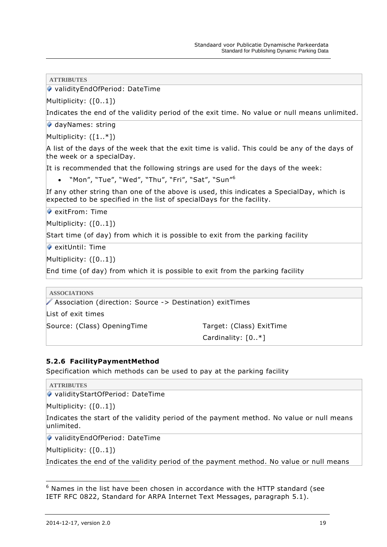◆ validityEndOfPeriod: DateTime

Multiplicity: ([0..1])

Indicates the end of the validity period of the exit time. No value or null means unlimited.

dayNames: string

Multiplicity: ([1..\*])

A list of the days of the week that the exit time is valid. This could be any of the days of the week or a specialDay.

It is recommended that the following strings are used for the days of the week:

• "Mon", "Tue", "Wed", "Thu", "Fri", "Sat", "Sun"<sup>6</sup>

If any other string than one of the above is used, this indicates a SpecialDay, which is expected to be specified in the list of specialDays for the facility.

exitFrom: Time

Multiplicity: ([0..1])

Start time (of day) from which it is possible to exit from the parking facility

 $\bullet$  exitUntil: Time

Multiplicity: ([0..1])

End time (of day) from which it is possible to exit from the parking facility

**ASSOCIATIONS**

Association (direction: Source -> Destination) exitTimes

List of exit times

Source: (Class) OpeningTime Target: (Class) ExitTime

```
Cardinality: [0..*]
```
#### <span id="page-19-0"></span>**5.2.6 FacilityPaymentMethod**

Specification which methods can be used to pay at the parking facility

**ATTRIBUTES**

◆ validityStartOfPeriod: DateTime

Multiplicity: ([0..1])

Indicates the start of the validity period of the payment method. No value or null means unlimited.

◆ validityEndOfPeriod: DateTime

Multiplicity: ([0..1])

Indicates the end of the validity period of the payment method. No value or null means

 $6$  Names in the list have been chosen in accordance with the HTTP standard (see IETF RFC 0822, Standard for ARPA Internet Text Messages, paragraph 5.1).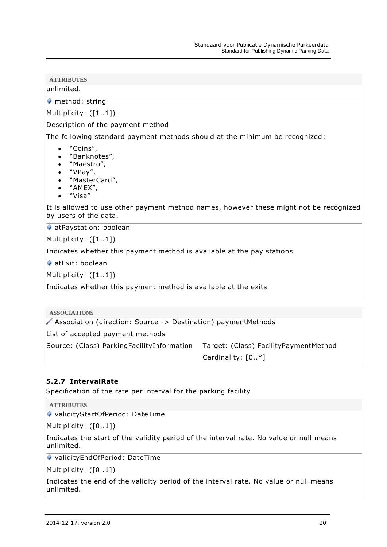## unlimited.

method: string

Multiplicity: ([1..1])

Description of the payment method

The following standard payment methods should at the minimum be recognized:

- "Coins",
- "Banknotes",<br>• "Maestro"
- "Maestro",
- "VPay",
- "MasterCard",
- "AMEX",
- "Visa"

It is allowed to use other payment method names, however these might not be recognized by users of the data.

◆ atPaystation: boolean

Multiplicity: ([1..1])

Indicates whether this payment method is available at the pay stations

atExit: boolean

Multiplicity: ([1..1])

Indicates whether this payment method is available at the exits

| <b>ASSOCIATIONS</b>                                           |                                       |
|---------------------------------------------------------------|---------------------------------------|
| Association (direction: Source -> Destination) paymentMethods |                                       |
| List of accepted payment methods                              |                                       |
| Source: (Class) Parking Facility Information                  | Target: (Class) FacilityPaymentMethod |
|                                                               | Cardinality: $[0. *]$                 |

### <span id="page-20-0"></span>**5.2.7 IntervalRate**

Specification of the rate per interval for the parking facility

**ATTRIBUTES**

◆ validityStartOfPeriod: DateTime

Multiplicity: ([0..1])

Indicates the start of the validity period of the interval rate. No value or null means unlimited.

◆ validityEndOfPeriod: DateTime

Multiplicity: ([0..1])

Indicates the end of the validity period of the interval rate. No value or null means unlimited.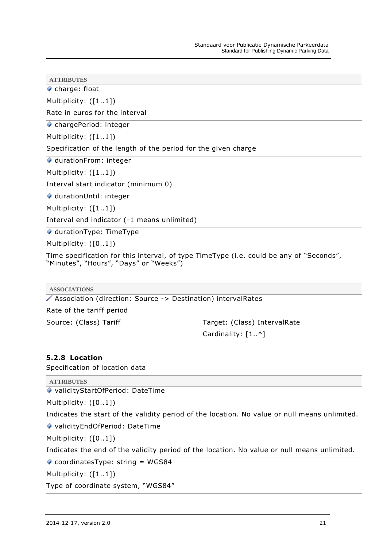charge: float

Multiplicity: ([1..1])

Rate in euros for the interval

chargePeriod: integer

Multiplicity: ([1..1])

Specification of the length of the period for the given charge

◆ durationFrom: integer

Multiplicity: ([1..1])

Interval start indicator (minimum 0)

◆ durationUntil: integer

Multiplicity: ([1..1])

Interval end indicator (-1 means unlimited)

♦ durationType: TimeType

Multiplicity: ([0..1])

Time specification for this interval, of type TimeType (i.e. could be any of "Seconds", "Minutes", "Hours", "Days" or "Weeks")

**ASSOCIATIONS**

Association (direction: Source -> Destination) intervalRates

Rate of the tariff period

Source: (Class) Tariff Target: (Class) IntervalRate

Cardinality: [1..\*]

### <span id="page-21-0"></span>**5.2.8 Location**

Specification of location data

```
ATTRIBUTES
```
◆ validityStartOfPeriod: DateTime

Multiplicity: ([0..1])

Indicates the start of the validity period of the location. No value or null means unlimited.

◆ validityEndOfPeriod: DateTime

Multiplicity: ([0..1])

Indicates the end of the validity period of the location. No value or null means unlimited.

◆ coordinatesType: string = WGS84

Multiplicity: ([1..1])

Type of coordinate system, "WGS84"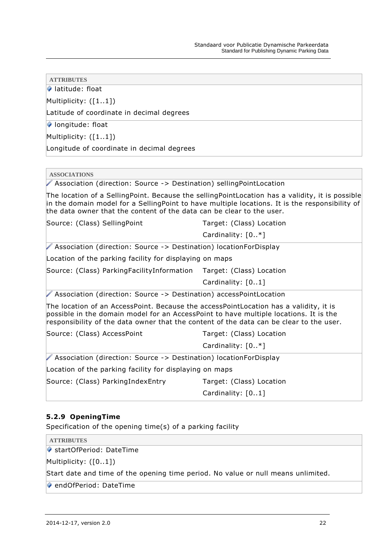latitude: float

Multiplicity: ([1..1])

Latitude of coordinate in decimal degrees

**Iongitude: float** 

Multiplicity: ([1..1])

Longitude of coordinate in decimal degrees

**ASSOCIATIONS**

Association (direction: Source -> Destination) sellingPointLocation

The location of a SellingPoint. Because the sellingPointLocation has a validity, it is possible in the domain model for a SellingPoint to have multiple locations. It is the responsibility of the data owner that the content of the data can be clear to the user.

Source: (Class) SellingPoint Target: (Class) Location

Cardinality: [0..\*]

Association (direction: Source -> Destination) locationForDisplay

Location of the parking facility for displaying on maps

Source: (Class) ParkingFacilityInformation Target: (Class) Location

Cardinality: [0..1]

Association (direction: Source -> Destination) accessPointLocation

The location of an AccessPoint. Because the accessPointLocation has a validity, it is possible in the domain model for an AccessPoint to have multiple locations. It is the responsibility of the data owner that the content of the data can be clear to the user.

Source: (Class) AccessPoint Target: (Class) Location

Cardinality: [0..\*]

Association (direction: Source -> Destination) locationForDisplay

Location of the parking facility for displaying on maps

Source: (Class) ParkingIndexEntry Target: (Class) Location

Cardinality: [0..1]

## <span id="page-22-0"></span>**5.2.9 OpeningTime**

Specification of the opening time(s) of a parking facility

**ATTRIBUTES**

◆ startOfPeriod: DateTime

Multiplicity: ([0..1])

Start date and time of the opening time period. No value or null means unlimited.

◆ endOfPeriod: DateTime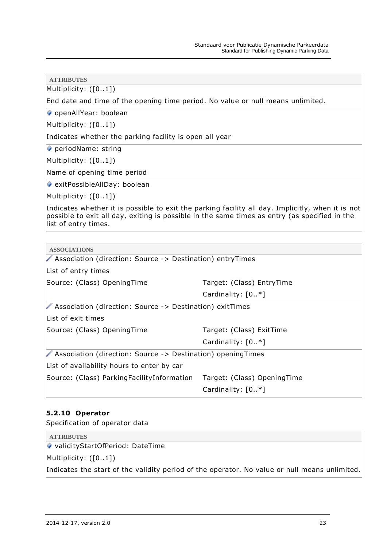| <b>ATTRIBUTES</b>                                                                                                                                                                                                          |                             |  |  |  |
|----------------------------------------------------------------------------------------------------------------------------------------------------------------------------------------------------------------------------|-----------------------------|--|--|--|
| Multiplicity: ([01])                                                                                                                                                                                                       |                             |  |  |  |
| End date and time of the opening time period. No value or null means unlimited.                                                                                                                                            |                             |  |  |  |
| ♦ openAllYear: boolean                                                                                                                                                                                                     |                             |  |  |  |
| Multiplicity: $([01])$                                                                                                                                                                                                     |                             |  |  |  |
| Indicates whether the parking facility is open all year                                                                                                                                                                    |                             |  |  |  |
| periodName: string                                                                                                                                                                                                         |                             |  |  |  |
| Multiplicity: $([01])$                                                                                                                                                                                                     |                             |  |  |  |
| Name of opening time period                                                                                                                                                                                                |                             |  |  |  |
| exitPossibleAllDay: boolean                                                                                                                                                                                                |                             |  |  |  |
| Multiplicity: $([01])$                                                                                                                                                                                                     |                             |  |  |  |
| Indicates whether it is possible to exit the parking facility all day. Implicitly, when it is not<br>possible to exit all day, exiting is possible in the same times as entry (as specified in the<br>list of entry times. |                             |  |  |  |
|                                                                                                                                                                                                                            |                             |  |  |  |
| <b>ASSOCIATIONS</b>                                                                                                                                                                                                        |                             |  |  |  |
| ▶ Association (direction: Source -> Destination) entryTimes                                                                                                                                                                |                             |  |  |  |
| List of entry times                                                                                                                                                                                                        |                             |  |  |  |
| Source: (Class) OpeningTime                                                                                                                                                                                                | Target: (Class) EntryTime   |  |  |  |
|                                                                                                                                                                                                                            | Cardinality: [0*]           |  |  |  |
| Association (direction: Source -> Destination) exitTimes                                                                                                                                                                   |                             |  |  |  |
| List of exit times                                                                                                                                                                                                         |                             |  |  |  |
| Source: (Class) OpeningTime                                                                                                                                                                                                | Target: (Class) ExitTime    |  |  |  |
|                                                                                                                                                                                                                            | Cardinality: $[0, *]$       |  |  |  |
| Association (direction: Source -> Destination) openingTimes                                                                                                                                                                |                             |  |  |  |
| List of availability hours to enter by car                                                                                                                                                                                 |                             |  |  |  |
| Source: (Class) ParkingFacilityInformation                                                                                                                                                                                 | Target: (Class) OpeningTime |  |  |  |

### <span id="page-23-0"></span>**5.2.10 Operator**

Specification of operator data

| <b>ATTRIBUTES</b>                                                                             |
|-----------------------------------------------------------------------------------------------|
| ● validityStartOfPeriod: DateTime                                                             |
| Multiplicity: $([01])$                                                                        |
| Indicates the start of the validity period of the operator. No value or null means unlimited. |

Cardinality: [0..\*]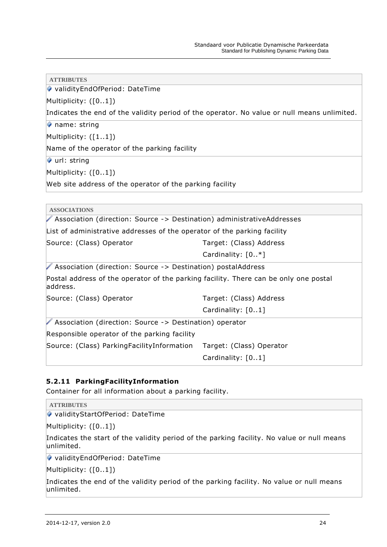| ◆ validityEndOfPeriod: DateTime                                                                  |                                                                                             |  |  |
|--------------------------------------------------------------------------------------------------|---------------------------------------------------------------------------------------------|--|--|
| Multiplicity: $([01])$                                                                           |                                                                                             |  |  |
|                                                                                                  | Indicates the end of the validity period of the operator. No value or null means unlimited. |  |  |
| name: string                                                                                     |                                                                                             |  |  |
| Multiplicity: $([11])$                                                                           |                                                                                             |  |  |
| Name of the operator of the parking facility                                                     |                                                                                             |  |  |
| url: string                                                                                      |                                                                                             |  |  |
| Multiplicity: $([01])$                                                                           |                                                                                             |  |  |
| Web site address of the operator of the parking facility                                         |                                                                                             |  |  |
|                                                                                                  |                                                                                             |  |  |
| <b>ASSOCIATIONS</b>                                                                              |                                                                                             |  |  |
| Association (direction: Source -> Destination) administrativeAddresses                           |                                                                                             |  |  |
| List of administrative addresses of the operator of the parking facility                         |                                                                                             |  |  |
| Source: (Class) Operator                                                                         | Target: (Class) Address                                                                     |  |  |
|                                                                                                  | Cardinality: $[0, *]$                                                                       |  |  |
| Association (direction: Source -> Destination) postalAddress                                     |                                                                                             |  |  |
| Postal address of the operator of the parking facility. There can be only one postal<br>address. |                                                                                             |  |  |
| Source: (Class) Operator                                                                         | Target: (Class) Address                                                                     |  |  |
|                                                                                                  | Cardinality: [01]                                                                           |  |  |
| Association (direction: Source -> Destination) operator                                          |                                                                                             |  |  |
| Responsible operator of the parking facility                                                     |                                                                                             |  |  |
| Source: (Class) ParkingFacilityInformation                                                       | Target: (Class) Operator                                                                    |  |  |
|                                                                                                  | Cardinality: [01]                                                                           |  |  |

## <span id="page-24-0"></span>**5.2.11 ParkingFacilityInformation**

Container for all information about a parking facility.

**ATTRIBUTES**

**ATTRIBUTES**

◆ validityStartOfPeriod: DateTime

Multiplicity: ([0..1])

Indicates the start of the validity period of the parking facility. No value or null means unlimited.

validityEndOfPeriod: DateTime

Multiplicity: ([0..1])

Indicates the end of the validity period of the parking facility. No value or null means unlimited.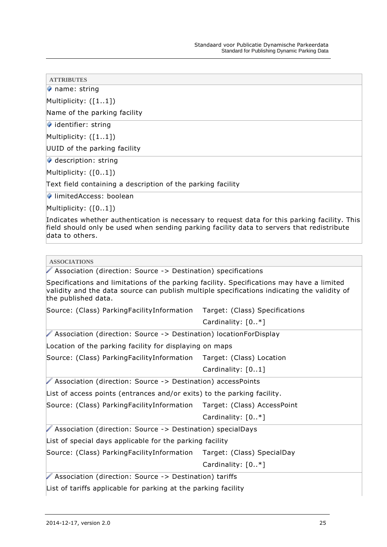name: string

Multiplicity: ([1..1])

Name of the parking facility

 $\bullet$  identifier: string

Multiplicity: ([1..1])

UUID of the parking facility

 $\blacklozenge$  description: string

Multiplicity: ([0..1])

Text field containing a description of the parking facility

◆ limitedAccess: boolean

Multiplicity: ([0..1])

Indicates whether authentication is necessary to request data for this parking facility. This field should only be used when sending parking facility data to servers that redistribute data to others.

#### **ASSOCIATIONS**

Association (direction: Source -> Destination) specifications

Specifications and limitations of the parking facility. Specifications may have a limited validity and the data source can publish multiple specifications indicating the validity of the published data.

Source: (Class) ParkingFacilityInformation Target: (Class) Specifications

Cardinality: [0..\*]

Association (direction: Source -> Destination) locationForDisplay

Location of the parking facility for displaying on maps

Source: (Class) ParkingFacilityInformation Target: (Class) Location

Cardinality: [0..1]

Association (direction: Source -> Destination) accessPoints

List of access points (entrances and/or exits) to the parking facility.

Source: (Class) ParkingFacilityInformation Target: (Class) AccessPoint

Cardinality: [0..\*]

Association (direction: Source -> Destination) specialDays

List of special days applicable for the parking facility

Source: (Class) ParkingFacilityInformation Target: (Class) SpecialDay

Cardinality: [0..\*]

Association (direction: Source -> Destination) tariffs

List of tariffs applicable for parking at the parking facility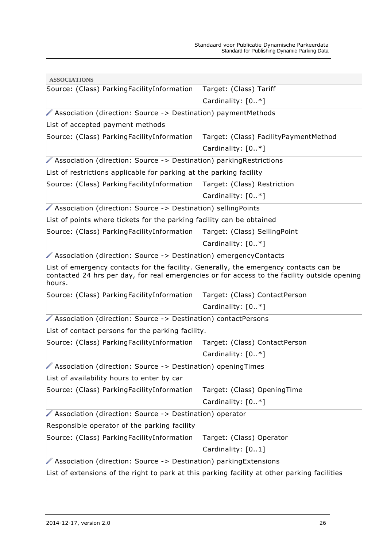| <b>ASSOCIATIONS</b>                                                                             |                                                                                              |  |
|-------------------------------------------------------------------------------------------------|----------------------------------------------------------------------------------------------|--|
| Source: (Class) ParkingFacilityInformation                                                      | Target: (Class) Tariff                                                                       |  |
|                                                                                                 | Cardinality: $[0, *]$                                                                        |  |
| Association (direction: Source -> Destination) paymentMethods                                   |                                                                                              |  |
| List of accepted payment methods                                                                |                                                                                              |  |
| Source: (Class) ParkingFacilityInformation Target: (Class) FacilityPaymentMethod                |                                                                                              |  |
|                                                                                                 | Cardinality: $[0*]$                                                                          |  |
| Association (direction: Source -> Destination) parking Restrictions                             |                                                                                              |  |
| List of restrictions applicable for parking at the parking facility                             |                                                                                              |  |
| Source: (Class) Parking Facility Information Target: (Class) Restriction                        |                                                                                              |  |
|                                                                                                 | Cardinality: $[0*]$                                                                          |  |
| Association (direction: Source -> Destination) sellingPoints                                    |                                                                                              |  |
| List of points where tickets for the parking facility can be obtained                           |                                                                                              |  |
| Source: (Class) ParkingFacilityInformation Target: (Class) SellingPoint                         |                                                                                              |  |
|                                                                                                 | Cardinality: $[0, *]$                                                                        |  |
| Association (direction: Source -> Destination) emergencyContacts                                |                                                                                              |  |
| List of emergency contacts for the facility. Generally, the emergency contacts can be<br>hours. | contacted 24 hrs per day, for real emergencies or for access to the facility outside opening |  |
| Source: (Class) Parking Facility Information Target: (Class) Contact Person                     |                                                                                              |  |
|                                                                                                 | Cardinality: $[0. *]$                                                                        |  |
| Association (direction: Source -> Destination) contactPersons                                   |                                                                                              |  |
| List of contact persons for the parking facility.                                               |                                                                                              |  |
| Source: (Class) Parking Facility Information                                                    | Target: (Class) ContactPerson                                                                |  |
|                                                                                                 | Cardinality: [0*]                                                                            |  |
| Association (direction: Source -> Destination) opening Times                                    |                                                                                              |  |
| List of availability hours to enter by car                                                      |                                                                                              |  |
| Source: (Class) ParkingFacilityInformation                                                      | Target: (Class) OpeningTime                                                                  |  |
|                                                                                                 | Cardinality: [0*]                                                                            |  |
| Association (direction: Source -> Destination) operator                                         |                                                                                              |  |
| Responsible operator of the parking facility                                                    |                                                                                              |  |
| Source: (Class) ParkingFacilityInformation                                                      | Target: (Class) Operator                                                                     |  |
|                                                                                                 | Cardinality: [01]                                                                            |  |
| Association (direction: Source -> Destination) parkingExtensions                                |                                                                                              |  |
| List of extensions of the right to park at this parking facility at other parking facilities    |                                                                                              |  |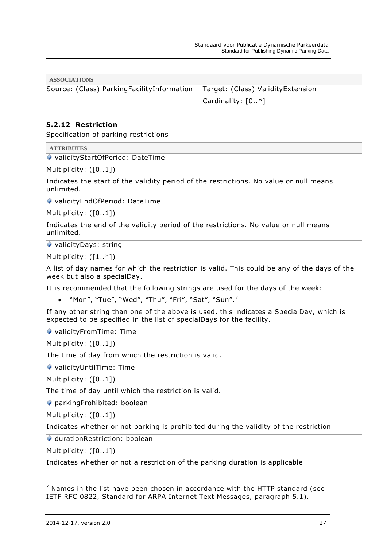**ASSOCIATIONS**

Source: (Class) ParkingFacilityInformation Target: (Class) ValidityExtension

Cardinality: [0..\*]

## <span id="page-27-0"></span>**5.2.12 Restriction**

Specification of parking restrictions

**ATTRIBUTES**

◆ validityStartOfPeriod: DateTime

Multiplicity: ([0..1])

Indicates the start of the validity period of the restrictions. No value or null means unlimited.

◆ validityEndOfPeriod: DateTime

Multiplicity: ([0..1])

Indicates the end of the validity period of the restrictions. No value or null means unlimited.

◆ validityDays: string

Multiplicity:  $([1..*])$ 

A list of day names for which the restriction is valid. This could be any of the days of the week but also a specialDay.

It is recommended that the following strings are used for the days of the week:

• "Mon", "Tue", "Wed", "Thu", "Fri", "Sat", "Sun".<sup>7</sup>

If any other string than one of the above is used, this indicates a SpecialDay, which is expected to be specified in the list of specialDays for the facility.

◆ validityFromTime: Time

Multiplicity: ([0..1])

The time of day from which the restriction is valid.

validityUntilTime: Time

Multiplicity: ([0..1])

The time of day until which the restriction is valid.

◆ parkingProhibited: boolean

Multiplicity: ([0..1])

Indicates whether or not parking is prohibited during the validity of the restriction

durationRestriction: boolean

Multiplicity: ([0..1])

Indicates whether or not a restriction of the parking duration is applicable

 $7$  Names in the list have been chosen in accordance with the HTTP standard (see IETF RFC 0822, Standard for ARPA Internet Text Messages, paragraph 5.1).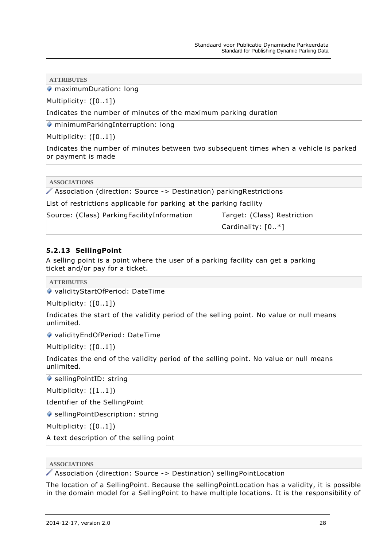◆ maximumDuration: long

Multiplicity: ([0..1])

Indicates the number of minutes of the maximum parking duration

◆ minimumParkingInterruption: long

Multiplicity: ([0..1])

Indicates the number of minutes between two subsequent times when a vehicle is parked or payment is made

**ASSOCIATIONS**

Association (direction: Source -> Destination) parkingRestrictions

List of restrictions applicable for parking at the parking facility

Source: (Class) ParkingFacilityInformation Target: (Class) Restriction

Cardinality: [0..\*]

#### <span id="page-28-0"></span>**5.2.13 SellingPoint**

A selling point is a point where the user of a parking facility can get a parking ticket and/or pay for a ticket.

**ATTRIBUTES**

validityStartOfPeriod: DateTime

Multiplicity: ([0..1])

Indicates the start of the validity period of the selling point. No value or null means unlimited.

◆ validityEndOfPeriod: DateTime

Multiplicity: ([0..1])

Indicates the end of the validity period of the selling point. No value or null means unlimited.

◆ sellingPointID: string

Multiplicity: ([1..1])

Identifier of the SellingPoint

◆ sellingPointDescription: string

Multiplicity: ([0..1])

A text description of the selling point

**ASSOCIATIONS**

Association (direction: Source -> Destination) sellingPointLocation

The location of a SellingPoint. Because the sellingPointLocation has a validity, it is possible in the domain model for a SellingPoint to have multiple locations. It is the responsibility of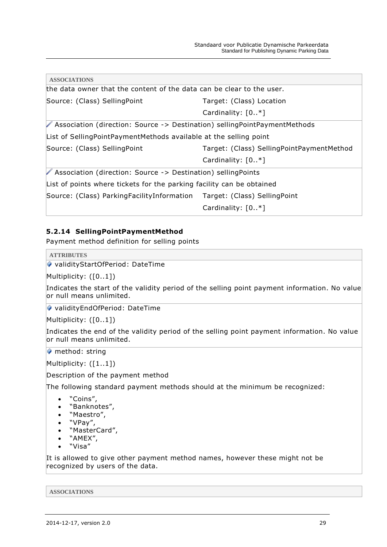| the data owner that the content of the data can be clear to the user.       |  |
|-----------------------------------------------------------------------------|--|
| Target: (Class) Location                                                    |  |
| Cardinality: $[0*]$                                                         |  |
| √ Association (direction: Source -> Destination) sellingPointPaymentMethods |  |
| List of SellingPointPaymentMethods available at the selling point           |  |
| Target: (Class) SellingPointPaymentMethod                                   |  |
| Cardinality: $[0, *]$                                                       |  |
| Association (direction: Source -> Destination) sellingPoints                |  |
| List of points where tickets for the parking facility can be obtained       |  |
| Source: (Class) Parking Facility Information Target: (Class) Selling Point  |  |
| Cardinality: $[0, *]$                                                       |  |
|                                                                             |  |

## <span id="page-29-0"></span>**5.2.14 SellingPointPaymentMethod**

Payment method definition for selling points

**ATTRIBUTES**

```
◆ validityStartOfPeriod: DateTime
```
Multiplicity: ([0..1])

Indicates the start of the validity period of the selling point payment information. No value or null means unlimited.

◆ validityEndOfPeriod: DateTime

Multiplicity: ([0..1])

Indicates the end of the validity period of the selling point payment information. No value or null means unlimited.

**M** method: string

Multiplicity: ([1..1])

Description of the payment method

The following standard payment methods should at the minimum be recognized:

- "Coins",
- "Banknotes",
- "Maestro",
- "VPay",
- "MasterCard",
- "AMEX",
- "Visa"

It is allowed to give other payment method names, however these might not be recognized by users of the data.

**ASSOCIATIONS**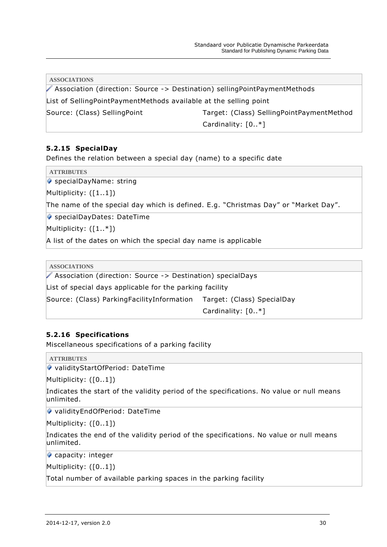|                                                                   | <b>ASSOCIATIONS</b><br>Association (direction: Source -> Destination) sellingPointPaymentMethods |  |
|-------------------------------------------------------------------|--------------------------------------------------------------------------------------------------|--|
|                                                                   |                                                                                                  |  |
| List of SellingPointPaymentMethods available at the selling point |                                                                                                  |  |
|                                                                   | Source: (Class) SellingPoint<br>Target: (Class) SellingPointPaymentMethod                        |  |
|                                                                   | Cardinality: $[0*]$                                                                              |  |

## <span id="page-30-0"></span>**5.2.15 SpecialDay**

Defines the relation between a special day (name) to a specific date

**ATTRIBUTES**

◆ specialDayName: string

Multiplicity: ([1..1])

The name of the special day which is defined. E.g. "Christmas Day" or "Market Day".

◆ specialDayDates: DateTime

Multiplicity: ([1..\*])

A list of the dates on which the special day name is applicable

**ASSOCIATIONS**

Association (direction: Source -> Destination) specialDays

List of special days applicable for the parking facility

Source: (Class) ParkingFacilityInformation Target: (Class) SpecialDay

Cardinality: [0..\*]

## <span id="page-30-1"></span>**5.2.16 Specifications**

Miscellaneous specifications of a parking facility

**ATTRIBUTES**

◆ validityStartOfPeriod: DateTime

Multiplicity: ([0..1])

Indicates the start of the validity period of the specifications. No value or null means unlimited.

◆ validityEndOfPeriod: DateTime

Multiplicity: ([0..1])

Indicates the end of the validity period of the specifications. No value or null means unlimited.

capacity: integer

Multiplicity: ([0..1])

Total number of available parking spaces in the parking facility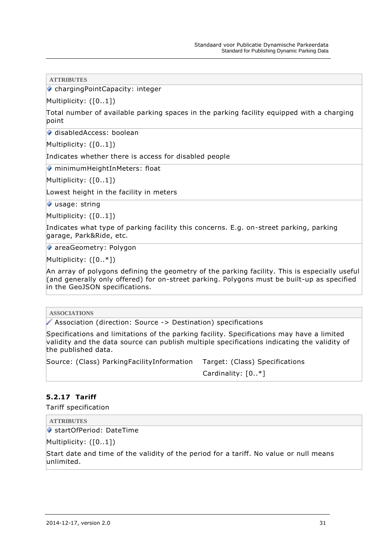◆ chargingPointCapacity: integer

Multiplicity: ([0..1])

Total number of available parking spaces in the parking facility equipped with a charging point

◆ disabledAccess: boolean

Multiplicity: ([0..1])

Indicates whether there is access for disabled people

◆ minimumHeightInMeters: float

Multiplicity: ([0..1])

Lowest height in the facility in meters

usage: string

Multiplicity: ([0..1])

Indicates what type of parking facility this concerns. E.g. on-street parking, parking garage, Park&Ride, etc.

◆ areaGeometry: Polygon

Multiplicity: ([0..\*])

An array of polygons defining the geometry of the parking facility. This is especially useful (and generally only offered) for on-street parking. Polygons must be built-up as specified in the GeoJSON specifications.

**ASSOCIATIONS**

Association (direction: Source -> Destination) specifications

Specifications and limitations of the parking facility. Specifications may have a limited validity and the data source can publish multiple specifications indicating the validity of the published data.

Source: (Class) ParkingFacilityInformation Target: (Class) Specifications

Cardinality: [0..\*]

#### <span id="page-31-0"></span>**5.2.17 Tariff**

Tariff specification

**ATTRIBUTES**

startOfPeriod: DateTime

Multiplicity: ([0..1])

Start date and time of the validity of the period for a tariff. No value or null means unlimited.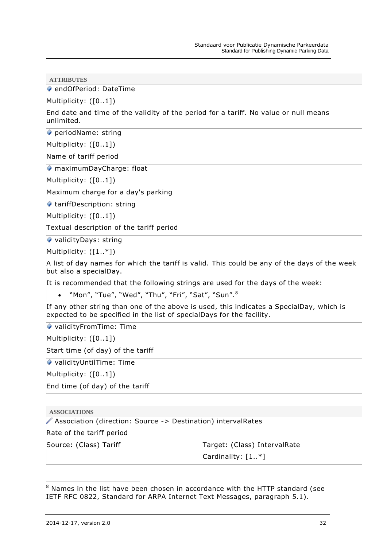◆ endOfPeriod: DateTime

Multiplicity: ([0..1])

End date and time of the validity of the period for a tariff. No value or null means unlimited.

periodName: string

Multiplicity: ([0..1])

Name of tariff period

◆ maximumDayCharge: float

Multiplicity: ([0..1])

Maximum charge for a day's parking

◆ tariffDescription: string

Multiplicity: ([0..1])

Textual description of the tariff period

validityDays: string

Multiplicity: ([1..\*])

A list of day names for which the tariff is valid. This could be any of the days of the week but also a specialDay.

It is recommended that the following strings are used for the days of the week:

• "Mon", "Tue", "Wed", "Thu", "Fri", "Sat", "Sun".<sup>8</sup>

If any other string than one of the above is used, this indicates a SpecialDay, which is expected to be specified in the list of specialDays for the facility.

◆ validityFromTime: Time

Multiplicity: ([0..1])

Start time (of day) of the tariff

◆ validityUntilTime: Time

Multiplicity: ([0..1])

End time (of day) of the tariff

**ASSOCIATIONS**

Association (direction: Source -> Destination) intervalRates

Rate of the tariff period

Source: (Class) Tariff Target: (Class) IntervalRate Cardinality: [1..\*]

 $8$  Names in the list have been chosen in accordance with the HTTP standard (see IETF RFC 0822, Standard for ARPA Internet Text Messages, paragraph 5.1).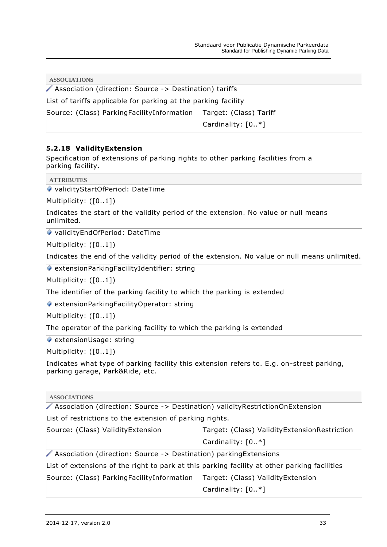| <b>ASSOCIATIONS</b>                                            |                        |
|----------------------------------------------------------------|------------------------|
| ▶ Association (direction: Source -> Destination) tariffs       |                        |
| List of tariffs applicable for parking at the parking facility |                        |
| Source: (Class) Parking Facility Information                   | Target: (Class) Tariff |
|                                                                | Cardinality: $[0. *]$  |

## <span id="page-33-0"></span>**5.2.18 ValidityExtension**

Specification of extensions of parking rights to other parking facilities from a parking facility.

**ATTRIBUTES**

validityStartOfPeriod: DateTime

Multiplicity: ([0..1])

Indicates the start of the validity period of the extension. No value or null means unlimited.

◆ validityEndOfPeriod: DateTime

Multiplicity: ([0..1])

Indicates the end of the validity period of the extension. No value or null means unlimited.

 $\bullet$  extensionParkingFacilityIdentifier: string

Multiplicity: ([0..1])

The identifier of the parking facility to which the parking is extended

 $\bullet$  extensionParkingFacilityOperator: string

Multiplicity: ([0..1])

The operator of the parking facility to which the parking is extended

 $\blacklozenge$  extensionUsage: string

Multiplicity: ([0..1])

Indicates what type of parking facility this extension refers to. E.g. on-street parking, parking garage, Park&Ride, etc.

**ASSOCIATIONS**

Association (direction: Source -> Destination) validityRestrictionOnExtension

List of restrictions to the extension of parking rights.

Source: (Class) ValidityExtension Target: (Class) ValidityExtensionRestriction

Cardinality: [0..\*]

Association (direction: Source -> Destination) parkingExtensions

List of extensions of the right to park at this parking facility at other parking facilities

Source: (Class) ParkingFacilityInformation Target: (Class) ValidityExtension

Cardinality: [0..\*]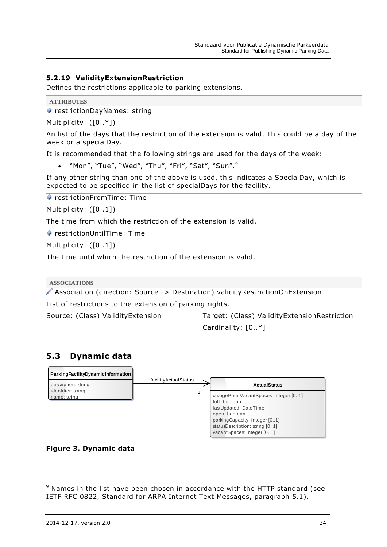## <span id="page-34-0"></span>**5.2.19 ValidityExtensionRestriction**

Defines the restrictions applicable to parking extensions.

```
ATTRIBUTES
```
◆ restrictionDayNames: string

Multiplicity: ([0..\*])

An list of the days that the restriction of the extension is valid. This could be a day of the week or a specialDay.

It is recommended that the following strings are used for the days of the week:

• "Mon", "Tue", "Wed", "Thu", "Fri", "Sat", "Sun". $9$ 

If any other string than one of the above is used, this indicates a SpecialDay, which is expected to be specified in the list of specialDays for the facility.

◆ restrictionFromTime: Time

Multiplicity: ([0..1])

The time from which the restriction of the extension is valid.

◆ restrictionUntilTime: Time

Multiplicity: ([0..1])

The time until which the restriction of the extension is valid.

**ASSOCIATIONS**

Association (direction: Source -> Destination) validityRestrictionOnExtension

List of restrictions to the extension of parking rights.

Source: (Class) ValidityExtension Target: (Class) ValidityExtensionRestriction

Cardinality: [0..\*]

# <span id="page-34-1"></span>**5.3 Dynamic data**



## **Figure 3. Dynamic data**

<sup>&</sup>lt;sup>9</sup> Names in the list have been chosen in accordance with the HTTP standard (see IETF RFC 0822, Standard for ARPA Internet Text Messages, paragraph 5.1).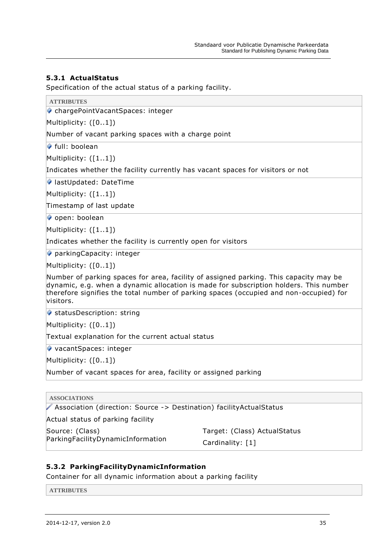## <span id="page-35-0"></span>**5.3.1 ActualStatus**

Specification of the actual status of a parking facility.

chargePointVacantSpaces: integer

Multiplicity: ([0..1])

Number of vacant parking spaces with a charge point

◆ full: boolean

Multiplicity: ([1..1])

Indicates whether the facility currently has vacant spaces for visitors or not

● lastUpdated: DateTime

Multiplicity: ([1..1])

Timestamp of last update

open: boolean

Multiplicity: ([1..1])

Indicates whether the facility is currently open for visitors

parkingCapacity: integer

Multiplicity: ([0..1])

Number of parking spaces for area, facility of assigned parking. This capacity may be dynamic, e.g. when a dynamic allocation is made for subscription holders. This number therefore signifies the total number of parking spaces (occupied and non-occupied) for visitors.

◆ statusDescription: string

Multiplicity: ([0..1])

Textual explanation for the current actual status

◆ vacantSpaces: integer

Multiplicity: ([0..1])

Number of vacant spaces for area, facility or assigned parking

#### **ASSOCIATIONS**

Association (direction: Source -> Destination) facilityActualStatus

Actual status of parking facility

Source: (Class) ParkingFacilityDynamicInformation Target: (Class) ActualStatus

Cardinality: [1]

#### <span id="page-35-1"></span>**5.3.2 ParkingFacilityDynamicInformation**

Container for all dynamic information about a parking facility

**ATTRIBUTES**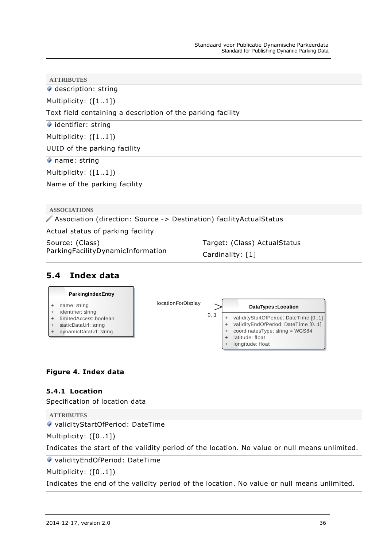| <b>ATTRIBUTES</b>                                           |
|-------------------------------------------------------------|
| description: string                                         |
| Multiplicity: $([11])$                                      |
| Text field containing a description of the parking facility |
| $\blacktriangleright$ identifier: string                    |
| Multiplicity: $([11])$                                      |
| UUID of the parking facility                                |
| $\triangleright$ name: string                               |
| Multiplicity: $([11])$                                      |
| Name of the parking facility                                |
|                                                             |

| <b>ASSOCIATIONS</b>                                                   |                              |  |
|-----------------------------------------------------------------------|------------------------------|--|
| Association (direction: Source -> Destination) facility Actual Status |                              |  |
| Actual status of parking facility                                     |                              |  |
| Source: (Class)                                                       | Target: (Class) ActualStatus |  |
| ParkingFacilityDynamicInformation                                     | Cardinality: [1]             |  |

# <span id="page-36-0"></span>**5.4 Index data**

| ParkingIndexEntry                                                         |                                  |    |                                                                                                               |
|---------------------------------------------------------------------------|----------------------------------|----|---------------------------------------------------------------------------------------------------------------|
| name: string<br>identifier: string                                        | <i><b>IocationForDisplay</b></i> |    | DataTypes::Location                                                                                           |
| limitedAccess: boolean<br>staticDataUrl: string<br>dynamicDataUrl: string |                                  | 01 | validityStartOfPeriod: DateTime [01]<br>validityEndOfPeriod: DateTime [01]<br>coordinatesType: string = WGS84 |
|                                                                           |                                  |    | latitude: float<br>longitude: float                                                                           |

# <span id="page-36-1"></span>**Figure 4. Index data**

## **5.4.1 Location**

Specification of location data

| <b>ATTRIBUTES</b>                                                                             |
|-----------------------------------------------------------------------------------------------|
| ↓ validityStartOfPeriod: DateTime                                                             |
| Multiplicity: $([01])$                                                                        |
| Indicates the start of the validity period of the location. No value or null means unlimited. |
| ↓ validityEndOfPeriod: DateTime                                                               |
| Multiplicity: $([01])$                                                                        |
| Indicates the end of the validity period of the location. No value or null means unlimited.   |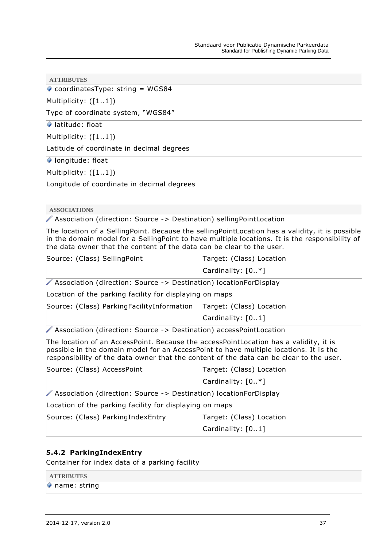$\bullet$  coordinatesType: string = WGS84

Multiplicity: ([1..1])

Type of coordinate system, "WGS84"

latitude: float

Multiplicity: ([1..1])

Latitude of coordinate in decimal degrees

longitude: float

Multiplicity: ([1..1])

Longitude of coordinate in decimal degrees

**ASSOCIATIONS**

Association (direction: Source -> Destination) sellingPointLocation

The location of a SellingPoint. Because the sellingPointLocation has a validity, it is possible in the domain model for a SellingPoint to have multiple locations. It is the responsibility of the data owner that the content of the data can be clear to the user.

| Source: (Class) SellingPoint                                                                                                                                                                                                                                              | Target: (Class) Location |
|---------------------------------------------------------------------------------------------------------------------------------------------------------------------------------------------------------------------------------------------------------------------------|--------------------------|
|                                                                                                                                                                                                                                                                           | Cardinality: [0*]        |
| Association (direction: Source -> Destination) locationForDisplay                                                                                                                                                                                                         |                          |
| Location of the parking facility for displaying on maps                                                                                                                                                                                                                   |                          |
| Source: (Class) Parking Facility Information Target: (Class) Location                                                                                                                                                                                                     |                          |
|                                                                                                                                                                                                                                                                           | Cardinality: [01]        |
| Association (direction: Source -> Destination) accessPointLocation                                                                                                                                                                                                        |                          |
| The location of an AccessPoint. Because the accessPointLocation has a validity, it is<br>possible in the domain model for an AccessPoint to have multiple locations. It is the<br>responsibility of the data owner that the content of the data can be clear to the user. |                          |
| Source: (Class) AccessPoint                                                                                                                                                                                                                                               | Target: (Class) Location |
|                                                                                                                                                                                                                                                                           | Cardinality: $[0. *]$    |
| ▶ Association (direction: Source -> Destination) locationForDisplay                                                                                                                                                                                                       |                          |
| Location of the parking facility for displaying on maps                                                                                                                                                                                                                   |                          |
| Source: (Class) ParkingIndexEntry                                                                                                                                                                                                                                         | Target: (Class) Location |

#### <span id="page-37-0"></span>**5.4.2 ParkingIndexEntry**

Container for index data of a parking facility

| <b>ATTRIBUTES</b>             |  |
|-------------------------------|--|
| $\triangleright$ name: string |  |

Cardinality: [0..1]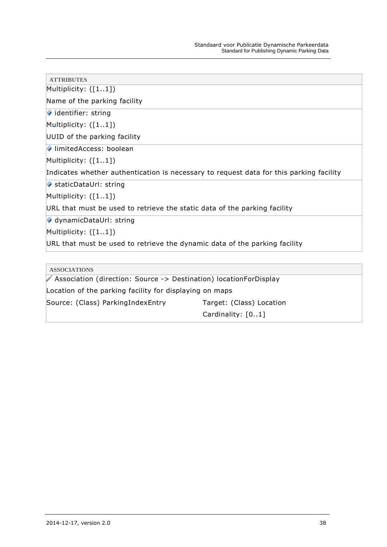| <b>ATTRIBUTES</b>                                                                       |
|-----------------------------------------------------------------------------------------|
| Multiplicity: $([11])$                                                                  |
| Name of the parking facility                                                            |
| $\blacktriangleright$ identifier: string                                                |
| Multiplicity: $([11])$                                                                  |
| UUID of the parking facility                                                            |
| limitedAccess: boolean                                                                  |
| Multiplicity: $([11])$                                                                  |
| Indicates whether authentication is necessary to request data for this parking facility |
| ♦ staticDataUrl: string                                                                 |
| Multiplicity: $([11])$                                                                  |
| URL that must be used to retrieve the static data of the parking facility               |
| ◆ dynamicDataUrl: string                                                                |
| Multiplicity: $([11])$                                                                  |
| URL that must be used to retrieve the dynamic data of the parking facility              |
|                                                                                         |
| <b>ASSOCIATIONS</b>                                                                     |
| Association (direction: Source -> Destination) locationForDisplay                       |

Location of the parking facility for displaying on maps

Source: (Class) ParkingIndexEntry Target: (Class) Location

Cardinality: [0..1]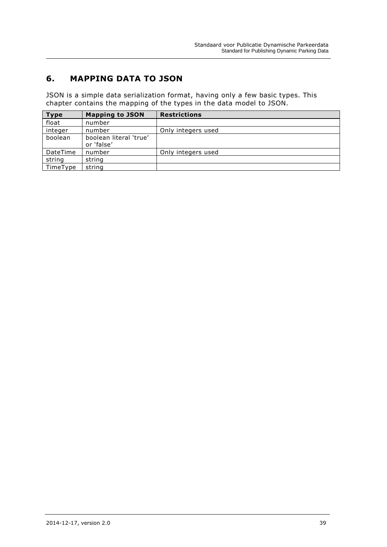# <span id="page-39-0"></span>**6. MAPPING DATA TO JSON**

JSON is a simple data serialization format, having only a few basic types. This chapter contains the mapping of the types in the data model to JSON.

| <b>Type</b> | <b>Mapping to JSON</b>               | <b>Restrictions</b> |
|-------------|--------------------------------------|---------------------|
| float       | number                               |                     |
| integer     | number                               | Only integers used  |
| boolean     | boolean literal 'true'<br>or 'false' |                     |
| DateTime    | number                               | Only integers used  |
| string      | string                               |                     |
| TimeType    | string                               |                     |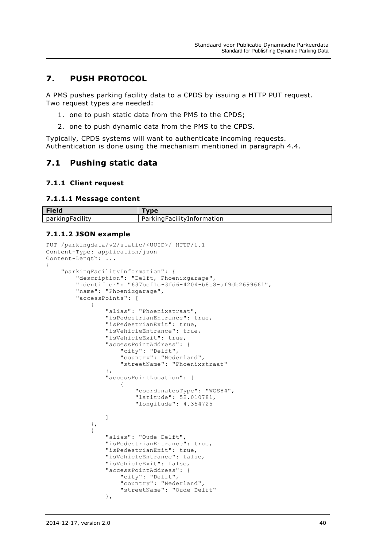# <span id="page-40-0"></span>**7. PUSH PROTOCOL**

A PMS pushes parking facility data to a CPDS by issuing a HTTP PUT request. Two request types are needed:

- 1. one to push static data from the PMS to the CPDS;
- 2. one to push dynamic data from the PMS to the CPDS.

Typically, CPDS systems will want to authenticate incoming requests. Authentication is done using the mechanism mentioned in paragraph [4.4.](#page-10-4)

## <span id="page-40-1"></span>**7.1 Pushing static data**

#### <span id="page-40-2"></span>**7.1.1 Client request**

#### **7.1.1.1 Message content**

| <b>Field</b>    | <b>SUBC</b>           |
|-----------------|-----------------------|
| <b>Facility</b> | ngFacilityInformation |
| . parkingi      | oarkin ا              |

#### **7.1.1.2 JSON example**

```
PUT /parkingdata/v2/static/<UUID>/ HTTP/1.1
Content-Type: application/json
Content-Length: ...
{
        "parkingFacilityInformation": {
              "description": "Delft, Phoenixgarage",
              "identifier": "637bcf1c-3fd6-4204-b8c8-af9db2699661",
              "name": "Phoenixgarage",
              "accessPoints": [
\left\{ \begin{array}{cc} 0 & 0 & 0 \\ 0 & 0 & 0 \\ 0 & 0 & 0 \\ 0 & 0 & 0 \\ 0 & 0 & 0 \\ 0 & 0 & 0 \\ 0 & 0 & 0 \\ 0 & 0 & 0 \\ 0 & 0 & 0 \\ 0 & 0 & 0 \\ 0 & 0 & 0 \\ 0 & 0 & 0 \\ 0 & 0 & 0 & 0 \\ 0 & 0 & 0 & 0 \\ 0 & 0 & 0 & 0 \\ 0 & 0 & 0 & 0 & 0 \\ 0 & 0 & 0 & 0 & 0 \\ 0 & 0 & 0 & 0 & 0 \\ 0 & 0 & 0 & 0 & 0 \\ 0 & 0 "alias": "Phoenixstraat",
                           "isPedestrianEntrance": true,
                           "isPedestrianExit": true,
                           "isVehicleEntrance": true,
                           "isVehicleExit": true,
                           "accessPointAddress": {
                                  "city": "Delft",
                                 "country": "Nederland",
                                  "streetName": "Phoenixstraat"
                            },
                           "accessPointLocation": [
 {
                                         "coordinatesType": "WGS84",
                                        "latitude": 52.010781,
                                        "longitude": 4.354725
 }
 ]
                     },
\left\{ \begin{array}{cc} 0 & 0 & 0 \\ 0 & 0 & 0 \\ 0 & 0 & 0 \\ 0 & 0 & 0 \\ 0 & 0 & 0 \\ 0 & 0 & 0 \\ 0 & 0 & 0 \\ 0 & 0 & 0 \\ 0 & 0 & 0 \\ 0 & 0 & 0 \\ 0 & 0 & 0 \\ 0 & 0 & 0 \\ 0 & 0 & 0 & 0 \\ 0 & 0 & 0 & 0 \\ 0 & 0 & 0 & 0 \\ 0 & 0 & 0 & 0 & 0 \\ 0 & 0 & 0 & 0 & 0 \\ 0 & 0 & 0 & 0 & 0 \\ 0 & 0 & 0 & 0 & 0 \\ 0 & 0 "alias": "Oude Delft",
                           "isPedestrianEntrance": true,
                           "isPedestrianExit": true,
                           "isVehicleEntrance": false,
                           "isVehicleExit": false,
                           "accessPointAddress": {
                                  "city": "Delft",
                                 "country": "Nederland",
                                  "streetName": "Oude Delft"
 },
```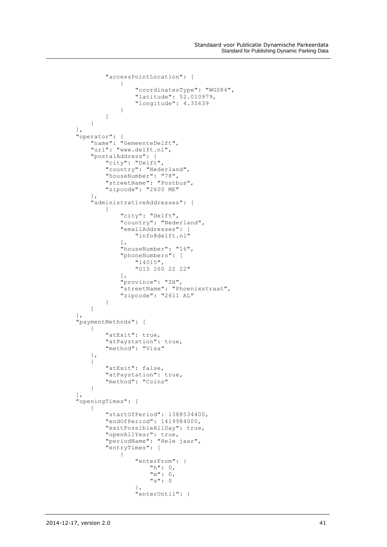```
 "accessPointLocation": [
 {
                                         "coordinatesType": "WGS84",
                                        "latitude": 52.010979,
                                        "longitude": 4.35639
 }
 ]
 }
             \, \, \, \, "operator": {
 "name": "GemeenteDelft",
 "url": "www.delft.nl",
                     "postalAddress": {
                           "city": "Delft",
                          "country": "Nederland",
                          "houseNumber": "78",
                           "streetName": "Postbus",
                           "zipcode": "2600 ME"
                    },
                    "administrativeAddresses": [
\left\{ \begin{array}{cc} 0 & 0 & 0 \\ 0 & 0 & 0 \\ 0 & 0 & 0 \\ 0 & 0 & 0 \\ 0 & 0 & 0 \\ 0 & 0 & 0 \\ 0 & 0 & 0 \\ 0 & 0 & 0 \\ 0 & 0 & 0 \\ 0 & 0 & 0 \\ 0 & 0 & 0 \\ 0 & 0 & 0 & 0 \\ 0 & 0 & 0 & 0 \\ 0 & 0 & 0 & 0 \\ 0 & 0 & 0 & 0 & 0 \\ 0 & 0 & 0 & 0 & 0 \\ 0 & 0 & 0 & 0 & 0 \\ 0 & 0 & 0 & 0 & 0 & 0 \\ 0 & 0 & 0 & 0 "city": "Delft",
                                 "country": "Nederland",
                                 "emailAddresses": [
                                        "info@delft.nl"
 ],
                                 "houseNumber": "16",
                                 "phoneNumbers": [
                                         "14015",
                                        "015 260 22 22"
                                  ],
                                 "province": "ZH",
                                 "streetName": "Phoenixstraat",
                                 "zipcode": "2611 AL"
 }
                    ]
              },
              "paymentMethods": [
\left\{ \begin{array}{cc} 0 & 0 & 0 \\ 0 & 0 & 0 \\ 0 & 0 & 0 \\ 0 & 0 & 0 \\ 0 & 0 & 0 \\ 0 & 0 & 0 \\ 0 & 0 & 0 \\ 0 & 0 & 0 \\ 0 & 0 & 0 \\ 0 & 0 & 0 \\ 0 & 0 & 0 \\ 0 & 0 & 0 \\ 0 & 0 & 0 & 0 \\ 0 & 0 & 0 & 0 \\ 0 & 0 & 0 & 0 \\ 0 & 0 & 0 & 0 & 0 \\ 0 & 0 & 0 & 0 & 0 \\ 0 & 0 & 0 & 0 & 0 \\ 0 & 0 & 0 & 0 & 0 \\ 0 & 0 "atExit": true,
                          "atPaystation": true,
                          "method": "Visa"
                    },
\left\{ \begin{array}{cc} 0 & 0 & 0 \\ 0 & 0 & 0 \\ 0 & 0 & 0 \\ 0 & 0 & 0 \\ 0 & 0 & 0 \\ 0 & 0 & 0 \\ 0 & 0 & 0 \\ 0 & 0 & 0 \\ 0 & 0 & 0 \\ 0 & 0 & 0 \\ 0 & 0 & 0 \\ 0 & 0 & 0 \\ 0 & 0 & 0 & 0 \\ 0 & 0 & 0 & 0 \\ 0 & 0 & 0 & 0 \\ 0 & 0 & 0 & 0 & 0 \\ 0 & 0 & 0 & 0 & 0 \\ 0 & 0 & 0 & 0 & 0 \\ 0 & 0 & 0 & 0 & 0 \\ 0 & 0 "atExit": false,
                          "atPaystation": true,
                          "method": "Coins"
 }
              ],
              "openingTimes": [
\{ "startOfPeriod": 1388534400,
                          "endOfPeriod": 1419984000,
                          "exitPossibleAllDay": true,
 "openAllYear": true,
 "periodName": "Hele jaar",
                          "entryTimes": [
 {
                                         "enterFrom": {
                                               "h": 0,
                                              "m": 0,
                                              "s": 0
 },
                                        "enterUntil": {
```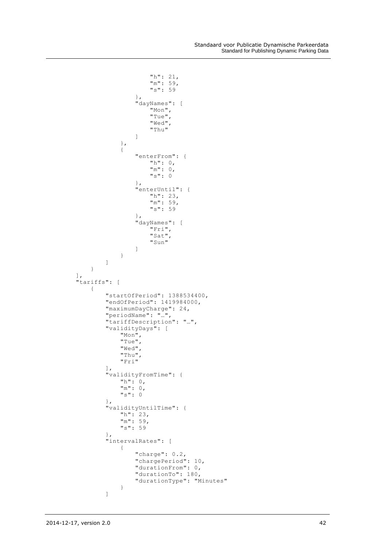```
 "h": 21,
                    "m": 59,
                    "s": 59
 },
                 "dayNames": [
                     "Mon",
                     "Tue",
                     "Wed",
                     "Thu"
\blacksquare },
              {
                  "enterFrom": {
                     "h": 0,
                    "m": 0,
                    "s": 0
 },
                  "enterUntil": {
 "h": 23,
                     "m": 59,
                     "s": 59
 },
                 "dayNames": [
                     "Fri",
                     "Sat",
                     "Sun"
\blacksquare }
 ]
 }
      ],
      "tariffs": [
         {
            "startOfPeriod": 1388534400,
           "endOfPeriod": 1419984000,
           "maximumDayCharge": 24,
           "periodName": "…",
           "tariffDescription": "…",
           "validityDays": [
 "Mon",
               "Tue",
              "Wed",
              "Thu",
              "Fri"
\mathbb{I}, \mathbb{I}, \mathbb{I}"validityFromTime": {
 "h": 0,
              "h": 0,<br>"m": 0,"s": 0
 },
            "validityUntilTime": {
 "h": 23,
               "m": 59,
               "s": 59
 },
            "intervalRates": [
 {
"charge": 0.2,
                  "chargePeriod": 10,
                 "durationFrom": 0,
                 "durationTo": 180,
                  "durationType": "Minutes"
 }
 ]
```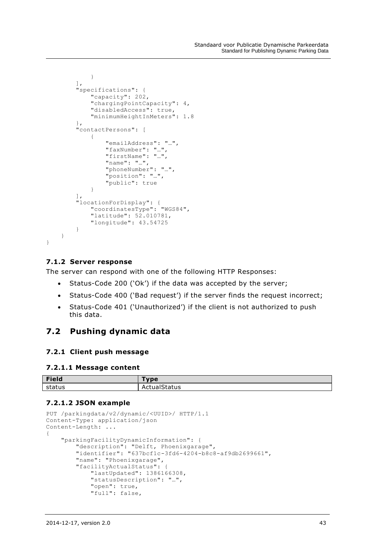```
 }
              ],
              "specifications": {
                    "capacity": 202,
                    "chargingPointCapacity": 4,
                     "disabledAccess": true,
                    "minimumHeightInMeters": 1.8
 },
              "contactPersons": [
\left\{ \begin{array}{cc} 0 & 0 & 0 \\ 0 & 0 & 0 \\ 0 & 0 & 0 \\ 0 & 0 & 0 \\ 0 & 0 & 0 \\ 0 & 0 & 0 \\ 0 & 0 & 0 \\ 0 & 0 & 0 \\ 0 & 0 & 0 \\ 0 & 0 & 0 \\ 0 & 0 & 0 \\ 0 & 0 & 0 \\ 0 & 0 & 0 & 0 \\ 0 & 0 & 0 & 0 \\ 0 & 0 & 0 & 0 \\ 0 & 0 & 0 & 0 & 0 \\ 0 & 0 & 0 & 0 & 0 \\ 0 & 0 & 0 & 0 & 0 \\ 0 & 0 & 0 & 0 & 0 \\ 0 & 0 "emailAddress": "…",
                          "faxNumber": "…",
                          "firstName": "…",
                          "name": "…",
                          "phoneNumber": "…",
                           "position": "…",
                           "public": true
 }
              ],
 "locationForDisplay": {
 "coordinatesType": "WGS84",
                    "latitude": 52.010781,
                    "longitude": 43.54725
 }
       }
```
#### **7.1.2 Server response**

<span id="page-43-0"></span>}

The server can respond with one of the following HTTP Responses:

- Status-Code 200 ('Ok') if the data was accepted by the server;
- Status-Code 400 ('Bad request') if the server finds the request incorrect;
- Status-Code 401 ('Unauthorized') if the client is not authorized to push this data.

## <span id="page-43-1"></span>**7.2 Pushing dynamic data**

#### <span id="page-43-2"></span>**7.2.1 Client push message**

#### **7.2.1.1 Message content**

| <b>Field</b> | Tvne                                                      |
|--------------|-----------------------------------------------------------|
| status       | $\sim$ $\sim$ $\sim$ $\sim$ $\sim$<br>status<br><b>AC</b> |

#### **7.2.1.2 JSON example**

```
PUT /parkingdata/v2/dynamic/<UUID>/ HTTP/1.1
Content-Type: application/json
Content-Length: ...
{
     "parkingFacilityDynamicInformation": {
 "description": "Delft, Phoenixgarage",
 "identifier": "637bcf1c-3fd6-4204-b8c8-af9db2699661",
         "name": "Phoenixgarage",
         "facilityActualStatus": {
             "lastUpdated": 1386166308,
             "statusDescription": "…",
             "open": true,
             "full": false,
```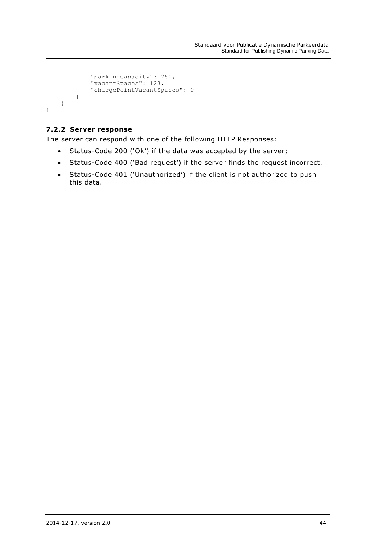```
 "parkingCapacity": 250,
 "vacantSpaces": 123,
           "chargePointVacantSpaces": 0
       }
    }
}
```
## <span id="page-44-0"></span>**7.2.2 Server response**

The server can respond with one of the following HTTP Responses:

- Status-Code 200 ('Ok') if the data was accepted by the server;
- Status-Code 400 ('Bad request') if the server finds the request incorrect.
- Status-Code 401 ('Unauthorized') if the client is not authorized to push this data.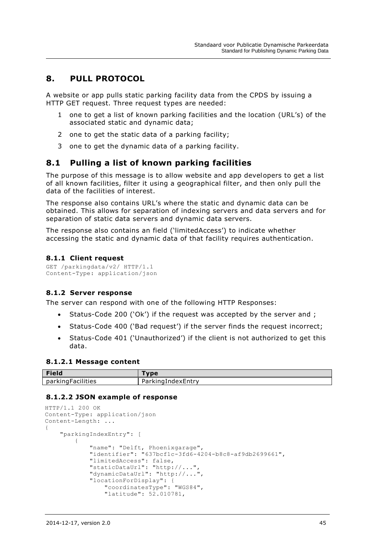# <span id="page-45-0"></span>**8. PULL PROTOCOL**

A website or app pulls static parking facility data from the CPDS by issuing a HTTP GET request. Three request types are needed:

- 1 one to get a list of known parking facilities and the location (URL's) of the associated static and dynamic data;
- 2 one to get the static data of a parking facility;
- 3 one to get the dynamic data of a parking facility.

# <span id="page-45-1"></span>**8.1 Pulling a list of known parking facilities**

The purpose of this message is to allow website and app developers to get a list of all known facilities, filter it using a geographical filter, and then only pull the data of the facilities of interest.

The response also contains URL's where the static and dynamic data can be obtained. This allows for separation of indexing servers and data servers and for separation of static data servers and dynamic data servers.

The response also contains an field ('limitedAccess') to indicate whether accessing the static and dynamic data of that facility requires authentication.

#### <span id="page-45-2"></span>**8.1.1 Client request**

```
GET /parkingdata/v2/ HTTP/1.1
Content-Type: application/json
```
#### <span id="page-45-3"></span>**8.1.2 Server response**

The server can respond with one of the following HTTP Responses:

- Status-Code 200 ('Ok') if the request was accepted by the server and ;
- Status-Code 400 ('Bad request') if the server finds the request incorrect;
- Status-Code 401 ('Unauthorized') if the client is not authorized to get this data.

#### **8.1.2.1 Message content**

| Field                       | 1000                            |
|-----------------------------|---------------------------------|
| .<br>parkingh<br>·acilities | مصادات<br>IndexEntrv<br>a<br>NU |

#### **8.1.2.2 JSON example of response**

```
HTTP/1.1 200 OK
Content-Type: application/json
Content-Length: ...
{
     "parkingIndexEntry": [
\{ "name": "Delft, Phoenixgarage",
             "identifier": "637bcf1c-3fd6-4204-b8c8-af9db2699661",
             "limitedAccess": false,
             "staticDataUrl": "http://...",
             "dynamicDataUrl": "http://...",
             "locationForDisplay": {
                 "coordinatesType": "WGS84",
                "latitude": 52.010781,
```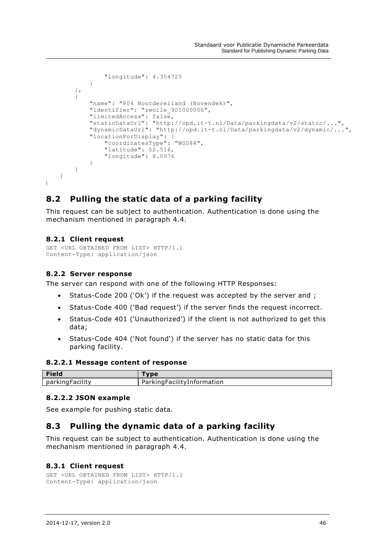```
 "longitude": 4.354725
 }
         },
\overline{\mathcal{A}} "name": "P04 Noordereiland (Bovendek)",
             "identifier": "zwolle_901000006",
             "limitedAccess": false,
             "staticDataUrl": "http://opd.it-t.nl/Data/parkingdata/v2/static/...",
             "dynamicDataUrl": "http://opd.it-t.nl/Data/parkingdata/v2/dynamic/...",
             "locationForDisplay": {
                 "coordinatesType": "WGS84",
                "latitude": 52.516,
                "longitude": 6.0976
  }
        }
    ]
}
```
# <span id="page-46-0"></span>**8.2 Pulling the static data of a parking facility**

This request can be subject to authentication. Authentication is done using the mechanism mentioned in paragraph [4.4.](#page-10-4)

#### <span id="page-46-1"></span>**8.2.1 Client request**

```
GET <URL OBTAINED FROM LIST> HTTP/1.1
Content-Type: application/json
```
### <span id="page-46-2"></span>**8.2.2 Server response**

The server can respond with one of the following HTTP Responses:

- Status-Code 200 ('Ok') if the request was accepted by the server and ;
- Status-Code 400 ('Bad request') if the server finds the request incorrect.
- Status-Code 401 ('Unauthorized') if the client is not authorized to get this data;
- Status-Code 404 ('Not found') if the server has no static data for this parking facility.

#### **8.2.2.1 Message content of response**

| <b>Field</b>     |                            |
|------------------|----------------------------|
| parking Facility | ParkingFacilityInformation |

#### **8.2.2.2 JSON example**

See example for pushing static data.

# <span id="page-46-3"></span>**8.3 Pulling the dynamic data of a parking facility**

This request can be subject to authentication. Authentication is done using the mechanism mentioned in paragraph [4.4.](#page-10-4)

#### <span id="page-46-4"></span>**8.3.1 Client request**

```
GET <URL OBTAINED FROM LIST> HTTP/1.1
Content-Type: application/json
```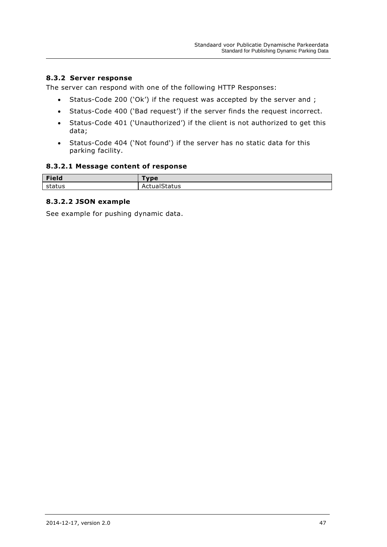## <span id="page-47-0"></span>**8.3.2 Server response**

The server can respond with one of the following HTTP Responses:

- Status-Code 200 ('Ok') if the request was accepted by the server and ;
- Status-Code 400 ('Bad request') if the server finds the request incorrect.
- Status-Code 401 ('Unauthorized') if the client is not authorized to get this data;
- Status-Code 404 ('Not found') if the server has no static data for this parking facility.

#### **8.3.2.1 Message content of response**

| <b>Field</b> | vne i  |
|--------------|--------|
| status       | itatus |

## **8.3.2.2 JSON example**

See example for pushing dynamic data.